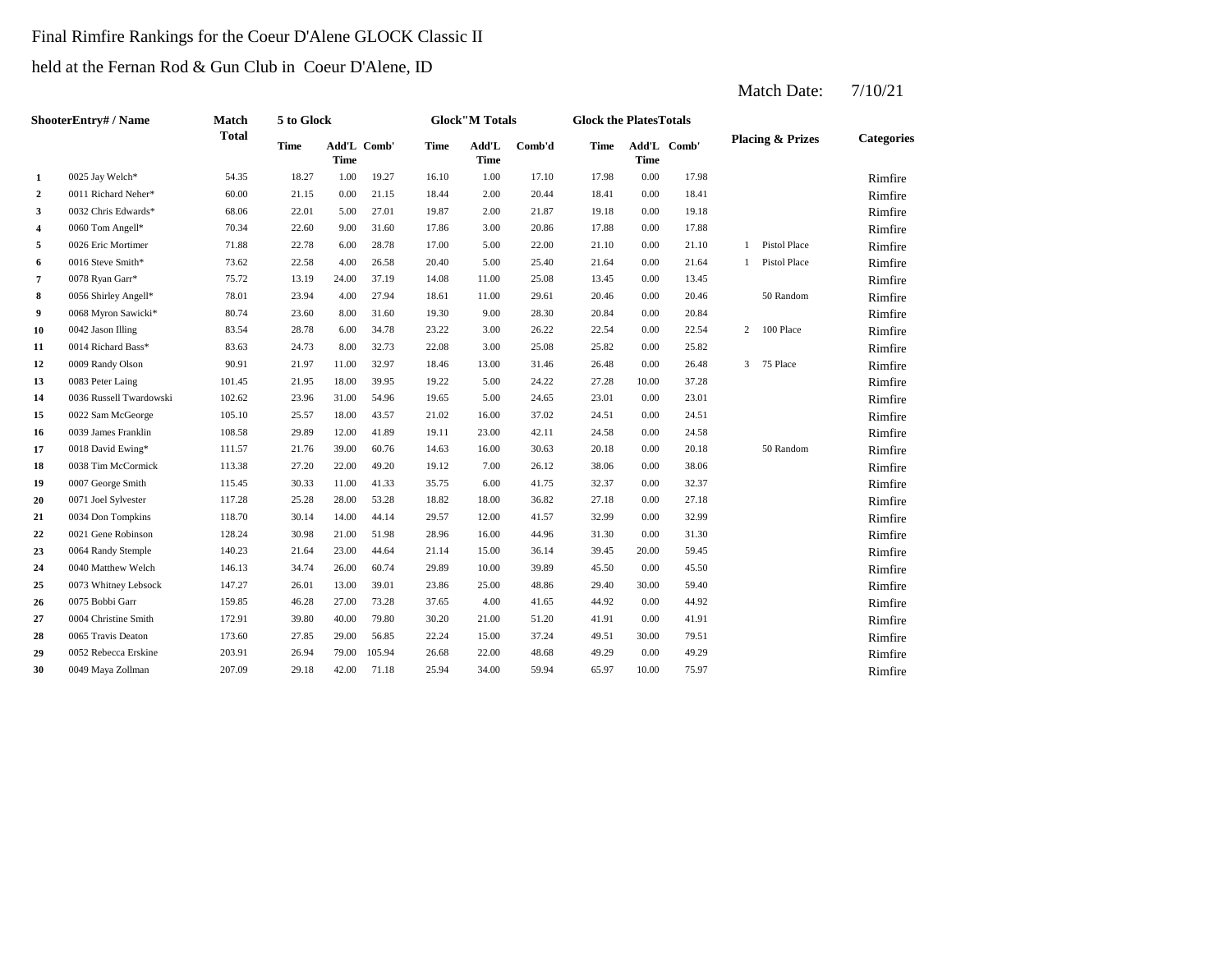#### Final Rimfire Rankings for the Coeur D'Alene GLOCK Classic II

held at the Fernan Rod & Gun Club in Coeur D'Alene, ID

|                  | ShooterEntry# / Name    | <b>Match</b> | 5 to Glock  |                            |        |             | <b>Glock</b> "M Totals |        | <b>Glock the PlatesTotals</b> |             |             |                             |                   |
|------------------|-------------------------|--------------|-------------|----------------------------|--------|-------------|------------------------|--------|-------------------------------|-------------|-------------|-----------------------------|-------------------|
|                  |                         | <b>Total</b> | <b>Time</b> | Add'L Comb'<br><b>Time</b> |        | <b>Time</b> | Add'L<br><b>Time</b>   | Comb'd | <b>Time</b>                   | <b>Time</b> | Add'L Comb' | <b>Placing &amp; Prizes</b> | <b>Categories</b> |
| $\mathbf{1}$     | 0025 Jay Welch*         | 54.35        | 18.27       | 1.00                       | 19.27  | 16.10       | 1.00                   | 17.10  | 17.98                         | $0.00\,$    | 17.98       |                             | Rimfire           |
| $\boldsymbol{2}$ | 0011 Richard Neher*     | 60.00        | 21.15       | 0.00                       | 21.15  | 18.44       | 2.00                   | 20.44  | 18.41                         | 0.00        | 18.41       |                             | Rimfire           |
| 3                | 0032 Chris Edwards*     | 68.06        | 22.01       | 5.00                       | 27.01  | 19.87       | 2.00                   | 21.87  | 19.18                         | 0.00        | 19.18       |                             | Rimfire           |
| 4                | 0060 Tom Angell*        | 70.34        | 22.60       | 9.00                       | 31.60  | 17.86       | 3.00                   | 20.86  | 17.88                         | 0.00        | 17.88       |                             | Rimfire           |
| 5                | 0026 Eric Mortimer      | 71.88        | 22.78       | 6.00                       | 28.78  | 17.00       | 5.00                   | 22.00  | 21.10                         | 0.00        | 21.10       | 1 Pistol Place              | Rimfire           |
| 6                | 0016 Steve Smith*       | 73.62        | 22.58       | 4.00                       | 26.58  | 20.40       | 5.00                   | 25.40  | 21.64                         | 0.00        | 21.64       | 1 Pistol Place              | Rimfire           |
| 7                | 0078 Ryan Garr*         | 75.72        | 13.19       | 24.00                      | 37.19  | 14.08       | 11.00                  | 25.08  | 13.45                         | 0.00        | 13.45       |                             | Rimfire           |
| 8                | 0056 Shirley Angell*    | 78.01        | 23.94       | 4.00                       | 27.94  | 18.61       | 11.00                  | 29.61  | 20.46                         | 0.00        | 20.46       | 50 Random                   | Rimfire           |
| 9                | 0068 Myron Sawicki*     | 80.74        | 23.60       | 8.00                       | 31.60  | 19.30       | 9.00                   | 28.30  | 20.84                         | 0.00        | 20.84       |                             | Rimfire           |
| 10               | 0042 Jason Illing       | 83.54        | 28.78       | 6.00                       | 34.78  | 23.22       | 3.00                   | 26.22  | 22.54                         | 0.00        | 22.54       | 2 100 Place                 | Rimfire           |
| 11               | 0014 Richard Bass*      | 83.63        | 24.73       | 8.00                       | 32.73  | 22.08       | 3.00                   | 25.08  | 25.82                         | 0.00        | 25.82       |                             | Rimfire           |
| 12               | 0009 Randy Olson        | 90.91        | 21.97       | 11.00                      | 32.97  | 18.46       | 13.00                  | 31.46  | 26.48                         | 0.00        | 26.48       | 3 75 Place                  | Rimfire           |
| 13               | 0083 Peter Laing        | 101.45       | 21.95       | 18.00                      | 39.95  | 19.22       | 5.00                   | 24.22  | 27.28                         | 10.00       | 37.28       |                             | Rimfire           |
| 14               | 0036 Russell Twardowski | 102.62       | 23.96       | 31.00                      | 54.96  | 19.65       | 5.00                   | 24.65  | 23.01                         | 0.00        | 23.01       |                             | Rimfire           |
| 15               | 0022 Sam McGeorge       | 105.10       | 25.57       | 18.00                      | 43.57  | 21.02       | 16.00                  | 37.02  | 24.51                         | 0.00        | 24.51       |                             | Rimfire           |
| 16               | 0039 James Franklin     | 108.58       | 29.89       | 12.00                      | 41.89  | 19.11       | 23.00                  | 42.11  | 24.58                         | 0.00        | 24.58       |                             | Rimfire           |
| 17               | 0018 David Ewing*       | 111.57       | 21.76       | 39.00                      | 60.76  | 14.63       | 16.00                  | 30.63  | 20.18                         | 0.00        | 20.18       | 50 Random                   | Rimfire           |
| 18               | 0038 Tim McCormick      | 113.38       | 27.20       | 22.00                      | 49.20  | 19.12       | 7.00                   | 26.12  | 38.06                         | 0.00        | 38.06       |                             | Rimfire           |
| 19               | 0007 George Smith       | 115.45       | 30.33       | 11.00                      | 41.33  | 35.75       | 6.00                   | 41.75  | 32.37                         | 0.00        | 32.37       |                             | Rimfire           |
| 20               | 0071 Joel Sylvester     | 117.28       | 25.28       | 28.00                      | 53.28  | 18.82       | 18.00                  | 36.82  | 27.18                         | 0.00        | 27.18       |                             | Rimfire           |
| 21               | 0034 Don Tompkins       | 118.70       | 30.14       | 14.00                      | 44.14  | 29.57       | 12.00                  | 41.57  | 32.99                         | 0.00        | 32.99       |                             | Rimfire           |
| 22               | 0021 Gene Robinson      | 128.24       | 30.98       | 21.00                      | 51.98  | 28.96       | 16.00                  | 44.96  | 31.30                         | 0.00        | 31.30       |                             | Rimfire           |
| 23               | 0064 Randy Stemple      | 140.23       | 21.64       | 23.00                      | 44.64  | 21.14       | 15.00                  | 36.14  | 39.45                         | 20.00       | 59.45       |                             | Rimfire           |
| 24               | 0040 Matthew Welch      | 146.13       | 34.74       | 26.00                      | 60.74  | 29.89       | 10.00                  | 39.89  | 45.50                         | 0.00        | 45.50       |                             | Rimfire           |
| 25               | 0073 Whitney Lebsock    | 147.27       | 26.01       | 13.00                      | 39.01  | 23.86       | 25.00                  | 48.86  | 29.40                         | 30.00       | 59.40       |                             | Rimfire           |
| 26               | 0075 Bobbi Garr         | 159.85       | 46.28       | 27.00                      | 73.28  | 37.65       | 4.00                   | 41.65  | 44.92                         | 0.00        | 44.92       |                             | Rimfire           |
| 27               | 0004 Christine Smith    | 172.91       | 39.80       | 40.00                      | 79.80  | 30.20       | 21.00                  | 51.20  | 41.91                         | 0.00        | 41.91       |                             | Rimfire           |
| 28               | 0065 Travis Deaton      | 173.60       | 27.85       | 29.00                      | 56.85  | 22.24       | 15.00                  | 37.24  | 49.51                         | 30.00       | 79.51       |                             | Rimfire           |
| 29               | 0052 Rebecca Erskine    | 203.91       | 26.94       | 79.00                      | 105.94 | 26.68       | 22.00                  | 48.68  | 49.29                         | 0.00        | 49.29       |                             | Rimfire           |
| 30               | 0049 Maya Zollman       | 207.09       | 29.18       | 42.00                      | 71.18  | 25.94       | 34.00                  | 59.94  | 65.97                         | 10.00       | 75.97       |                             | Rimfire           |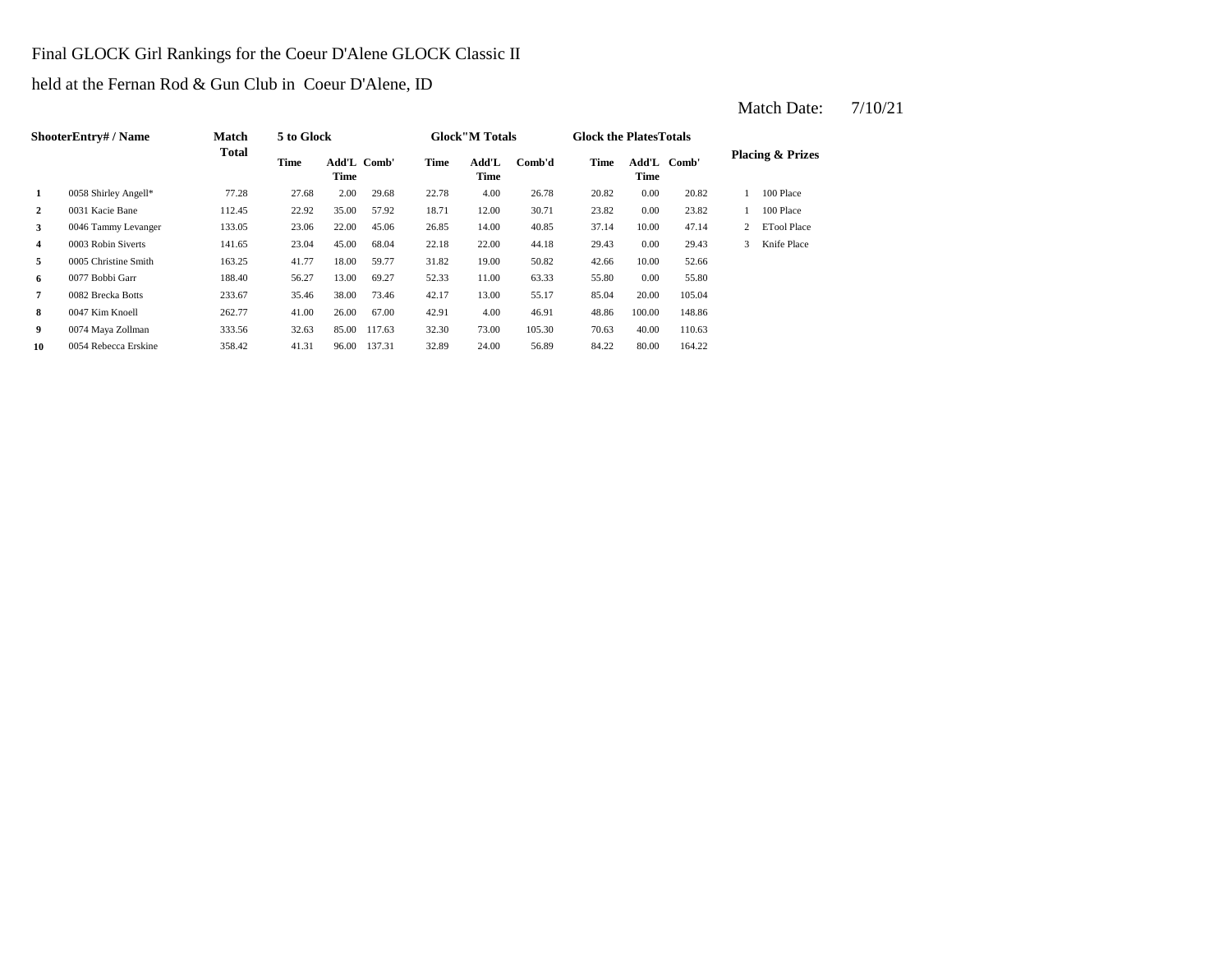#### Final GLOCK Girl Rankings for the Coeur D'Alene GLOCK Classic II

held at the Fernan Rod & Gun Club in Coeur D'Alene, ID

|                | <b>ShooterEntry#/Name</b> | Match        | 5 to Glock |                            |        |       | <b>Glock</b> "M Totals |        | <b>Glock the PlatesTotals</b> |               |        |   |                             |
|----------------|---------------------------|--------------|------------|----------------------------|--------|-------|------------------------|--------|-------------------------------|---------------|--------|---|-----------------------------|
|                |                           | <b>Total</b> | Time       | Add'L Comb'<br><b>Time</b> |        | Time  | Add'L<br>Time          | Comb'd | Time                          | Add'L<br>Time | Comb'  |   | <b>Placing &amp; Prizes</b> |
| 1              | 0058 Shirley Angell*      | 77.28        | 27.68      | 2.00                       | 29.68  | 22.78 | 4.00                   | 26.78  | 20.82                         | 0.00          | 20.82  |   | 100 Place                   |
| $\overline{2}$ | 0031 Kacie Bane           | 112.45       | 22.92      | 35.00                      | 57.92  | 18.71 | 12.00                  | 30.71  | 23.82                         | 0.00          | 23.82  |   | 100 Place                   |
| 3              | 0046 Tammy Levanger       | 133.05       | 23.06      | 22.00                      | 45.06  | 26.85 | 14.00                  | 40.85  | 37.14                         | 10.00         | 47.14  | 2 | <b>ETool Place</b>          |
| $\overline{4}$ | 0003 Robin Siverts        | 141.65       | 23.04      | 45.00                      | 68.04  | 22.18 | 22.00                  | 44.18  | 29.43                         | 0.00          | 29.43  | 3 | Knife Place                 |
| 5              | 0005 Christine Smith      | 163.25       | 41.77      | 18.00                      | 59.77  | 31.82 | 19.00                  | 50.82  | 42.66                         | 10.00         | 52.66  |   |                             |
| 6              | 0077 Bobbi Garr           | 188.40       | 56.27      | 13.00                      | 69.27  | 52.33 | 11.00                  | 63.33  | 55.80                         | 0.00          | 55.80  |   |                             |
| $\overline{7}$ | 0082 Brecka Botts         | 233.67       | 35.46      | 38.00                      | 73.46  | 42.17 | 13.00                  | 55.17  | 85.04                         | 20.00         | 105.04 |   |                             |
| 8              | 0047 Kim Knoell           | 262.77       | 41.00      | 26.00                      | 67.00  | 42.91 | 4.00                   | 46.91  | 48.86                         | 100.00        | 148.86 |   |                             |
| 9              | 0074 Maya Zollman         | 333.56       | 32.63      | 85.00                      | 117.63 | 32.30 | 73.00                  | 105.30 | 70.63                         | 40.00         | 110.63 |   |                             |
| 10             | 0054 Rebecca Erskine      | 358.42       | 41.31      | 96.00                      | 137.31 | 32.89 | 24.00                  | 56.89  | 84.22                         | 80.00         | 164.22 |   |                             |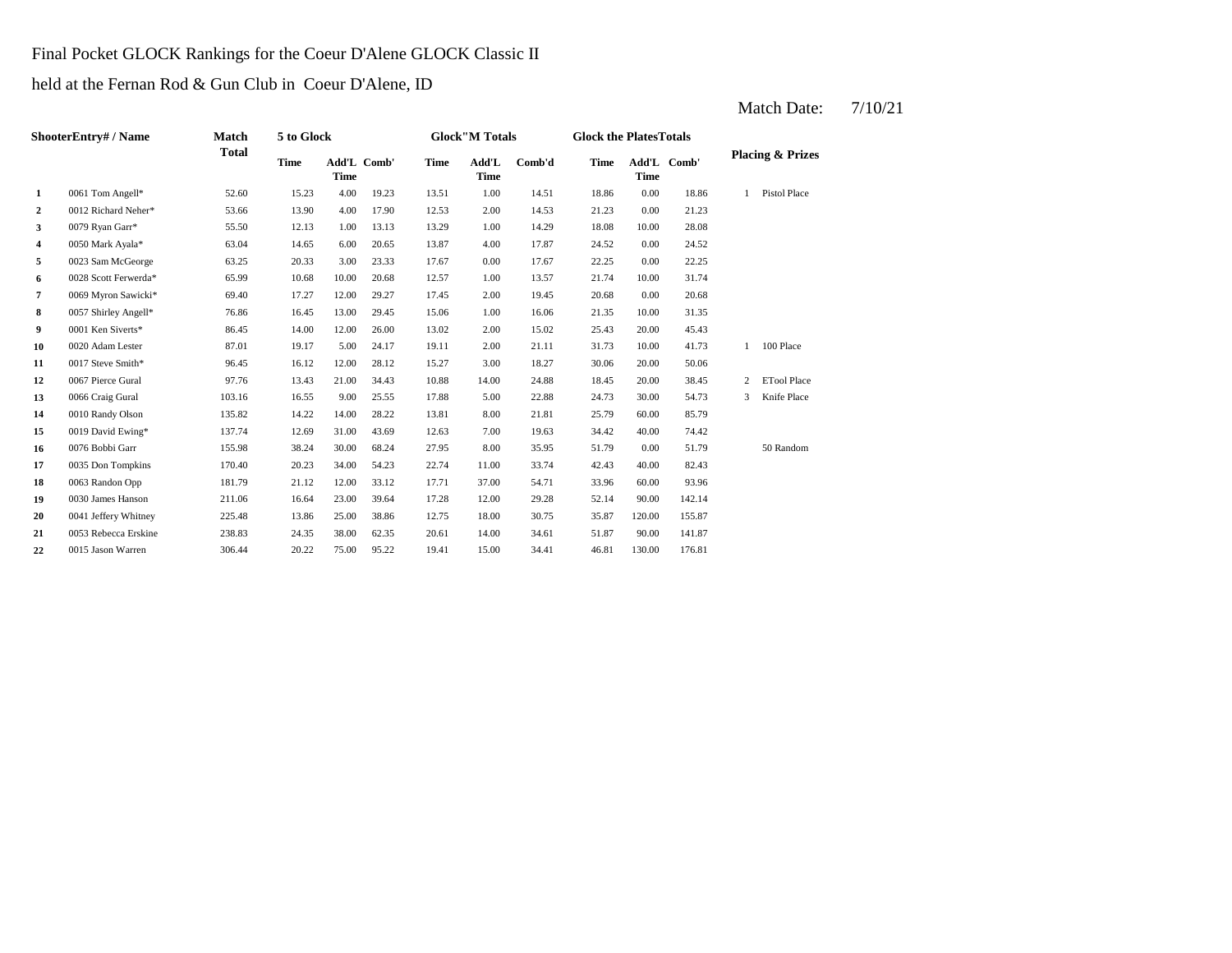#### Final Pocket GLOCK Rankings for the Coeur D'Alene GLOCK Classic II

held at the Fernan Rod & Gun Club in Coeur D'Alene, ID

|                  | ShooterEntry# / Name | Match        | 5 to Glock  |                            |       |             | <b>Glock"M Totals</b> |        | <b>Glock the PlatesTotals</b> |                            |        |   |                             |
|------------------|----------------------|--------------|-------------|----------------------------|-------|-------------|-----------------------|--------|-------------------------------|----------------------------|--------|---|-----------------------------|
|                  |                      | <b>Total</b> | <b>Time</b> | Add'L Comb'<br><b>Time</b> |       | <b>Time</b> | Add'L<br><b>Time</b>  | Comb'd | <b>Time</b>                   | Add'L Comb'<br><b>Time</b> |        |   | <b>Placing &amp; Prizes</b> |
| 1                | 0061 Tom Angell*     | 52.60        | 15.23       | 4.00                       | 19.23 | 13.51       | 1.00                  | 14.51  | 18.86                         | 0.00                       | 18.86  | 1 | <b>Pistol Place</b>         |
| $\boldsymbol{2}$ | 0012 Richard Neher*  | 53.66        | 13.90       | 4.00                       | 17.90 | 12.53       | 2.00                  | 14.53  | 21.23                         | 0.00                       | 21.23  |   |                             |
| 3                | 0079 Ryan Garr*      | 55.50        | 12.13       | 1.00                       | 13.13 | 13.29       | 1.00                  | 14.29  | 18.08                         | 10.00                      | 28.08  |   |                             |
| 4                | 0050 Mark Ayala*     | 63.04        | 14.65       | 6.00                       | 20.65 | 13.87       | 4.00                  | 17.87  | 24.52                         | 0.00                       | 24.52  |   |                             |
| 5                | 0023 Sam McGeorge    | 63.25        | 20.33       | 3.00                       | 23.33 | 17.67       | 0.00                  | 17.67  | 22.25                         | 0.00                       | 22.25  |   |                             |
| 6                | 0028 Scott Ferwerda* | 65.99        | 10.68       | 10.00                      | 20.68 | 12.57       | 1.00                  | 13.57  | 21.74                         | 10.00                      | 31.74  |   |                             |
| 7                | 0069 Myron Sawicki*  | 69.40        | 17.27       | 12.00                      | 29.27 | 17.45       | 2.00                  | 19.45  | 20.68                         | 0.00                       | 20.68  |   |                             |
| 8                | 0057 Shirley Angell* | 76.86        | 16.45       | 13.00                      | 29.45 | 15.06       | 1.00                  | 16.06  | 21.35                         | 10.00                      | 31.35  |   |                             |
| 9                | 0001 Ken Siverts*    | 86.45        | 14.00       | 12.00                      | 26.00 | 13.02       | 2.00                  | 15.02  | 25.43                         | 20.00                      | 45.43  |   |                             |
| 10               | 0020 Adam Lester     | 87.01        | 19.17       | 5.00                       | 24.17 | 19.11       | 2.00                  | 21.11  | 31.73                         | 10.00                      | 41.73  | 1 | 100 Place                   |
| 11               | 0017 Steve Smith*    | 96.45        | 16.12       | 12.00                      | 28.12 | 15.27       | 3.00                  | 18.27  | 30.06                         | 20.00                      | 50.06  |   |                             |
| 12               | 0067 Pierce Gural    | 97.76        | 13.43       | 21.00                      | 34.43 | 10.88       | 14.00                 | 24.88  | 18.45                         | 20.00                      | 38.45  | 2 | <b>ETool Place</b>          |
| 13               | 0066 Craig Gural     | 103.16       | 16.55       | 9.00                       | 25.55 | 17.88       | 5.00                  | 22.88  | 24.73                         | 30.00                      | 54.73  | 3 | Knife Place                 |
| 14               | 0010 Randy Olson     | 135.82       | 14.22       | 14.00                      | 28.22 | 13.81       | 8.00                  | 21.81  | 25.79                         | 60.00                      | 85.79  |   |                             |
| 15               | 0019 David Ewing*    | 137.74       | 12.69       | 31.00                      | 43.69 | 12.63       | 7.00                  | 19.63  | 34.42                         | 40.00                      | 74.42  |   |                             |
| 16               | 0076 Bobbi Garr      | 155.98       | 38.24       | 30.00                      | 68.24 | 27.95       | 8.00                  | 35.95  | 51.79                         | 0.00                       | 51.79  |   | 50 Random                   |
| 17               | 0035 Don Tompkins    | 170.40       | 20.23       | 34.00                      | 54.23 | 22.74       | 11.00                 | 33.74  | 42.43                         | 40.00                      | 82.43  |   |                             |
| 18               | 0063 Randon Opp      | 181.79       | 21.12       | 12.00                      | 33.12 | 17.71       | 37.00                 | 54.71  | 33.96                         | 60.00                      | 93.96  |   |                             |
| 19               | 0030 James Hanson    | 211.06       | 16.64       | 23.00                      | 39.64 | 17.28       | 12.00                 | 29.28  | 52.14                         | 90.00                      | 142.14 |   |                             |
| 20               | 0041 Jeffery Whitney | 225.48       | 13.86       | 25.00                      | 38.86 | 12.75       | 18.00                 | 30.75  | 35.87                         | 120.00                     | 155.87 |   |                             |
| 21               | 0053 Rebecca Erskine | 238.83       | 24.35       | 38.00                      | 62.35 | 20.61       | 14.00                 | 34.61  | 51.87                         | 90.00                      | 141.87 |   |                             |
| 22               | 0015 Jason Warren    | 306.44       | 20.22       | 75.00                      | 95.22 | 19.41       | 15.00                 | 34.41  | 46.81                         | 130.00                     | 176.81 |   |                             |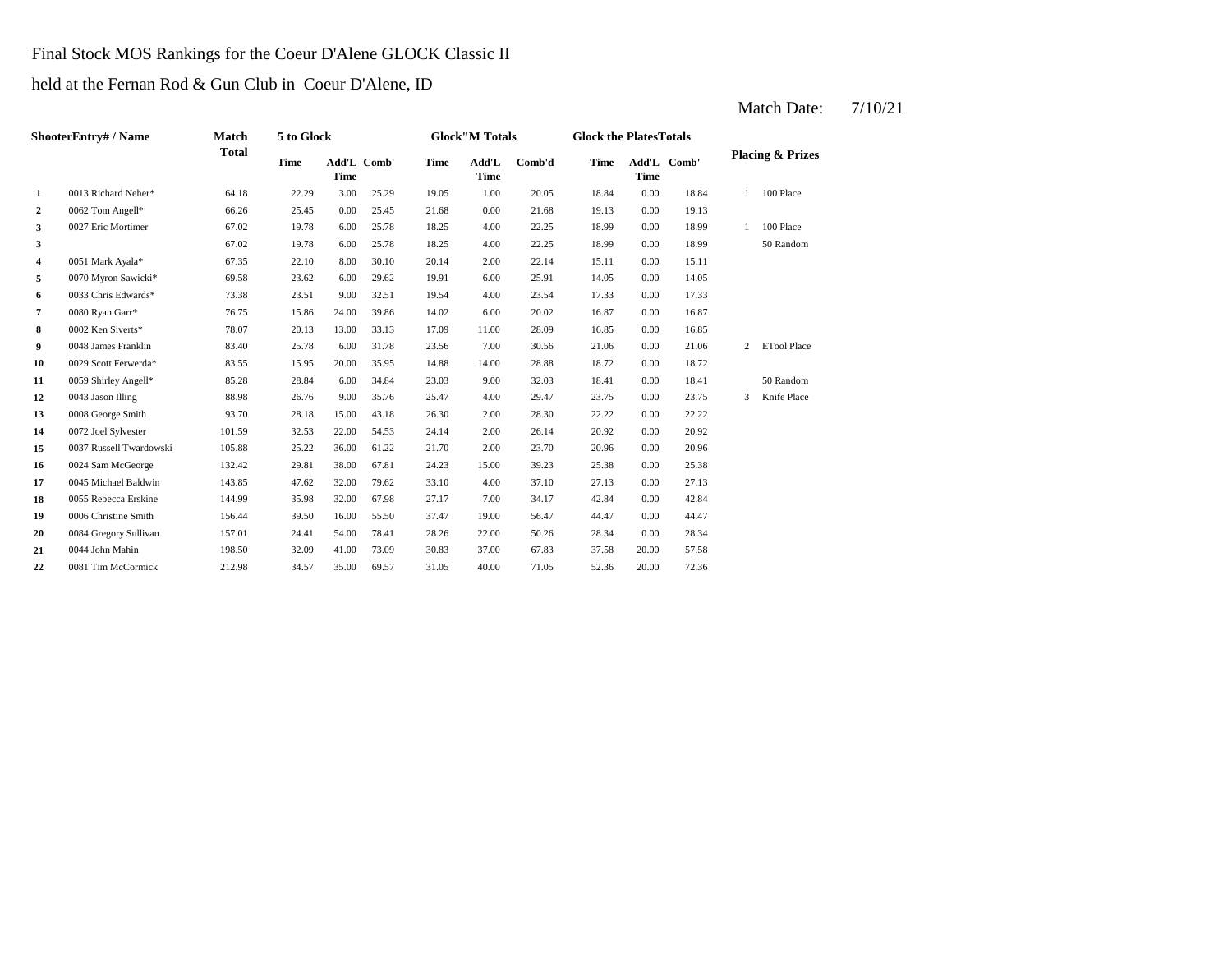#### Final Stock MOS Rankings for the Coeur D'Alene GLOCK Classic II

held at the Fernan Rod & Gun Club in Coeur D'Alene, ID

|                  | <b>ShooterEntry# / Name</b> | <b>Match</b> | 5 to Glock  |                            |       |             | <b>Glock</b> "M Totals |        | <b>Glock the PlatesTotals</b> |             |             |   |                             |
|------------------|-----------------------------|--------------|-------------|----------------------------|-------|-------------|------------------------|--------|-------------------------------|-------------|-------------|---|-----------------------------|
|                  |                             | <b>Total</b> | <b>Time</b> | Add'L Comb'<br><b>Time</b> |       | <b>Time</b> | Add'L<br><b>Time</b>   | Comb'd | <b>Time</b>                   | <b>Time</b> | Add'L Comb' |   | <b>Placing &amp; Prizes</b> |
| $\mathbf{1}$     | 0013 Richard Neher*         | 64.18        | 22.29       | 3.00                       | 25.29 | 19.05       | 1.00                   | 20.05  | 18.84                         | 0.00        | 18.84       | 1 | 100 Place                   |
| $\boldsymbol{2}$ | 0062 Tom Angell*            | 66.26        | 25.45       | 0.00                       | 25.45 | 21.68       | 0.00                   | 21.68  | 19.13                         | 0.00        | 19.13       |   |                             |
| 3                | 0027 Eric Mortimer          | 67.02        | 19.78       | 6.00                       | 25.78 | 18.25       | 4.00                   | 22.25  | 18.99                         | 0.00        | 18.99       | 1 | 100 Place                   |
| 3                |                             | 67.02        | 19.78       | 6.00                       | 25.78 | 18.25       | 4.00                   | 22.25  | 18.99                         | 0.00        | 18.99       |   | 50 Random                   |
| 4                | 0051 Mark Ayala*            | 67.35        | 22.10       | 8.00                       | 30.10 | 20.14       | 2.00                   | 22.14  | 15.11                         | 0.00        | 15.11       |   |                             |
| 5                | 0070 Myron Sawicki*         | 69.58        | 23.62       | 6.00                       | 29.62 | 19.91       | 6.00                   | 25.91  | 14.05                         | 0.00        | 14.05       |   |                             |
| 6                | 0033 Chris Edwards*         | 73.38        | 23.51       | 9.00                       | 32.51 | 19.54       | 4.00                   | 23.54  | 17.33                         | 0.00        | 17.33       |   |                             |
| 7                | 0080 Ryan Garr*             | 76.75        | 15.86       | 24.00                      | 39.86 | 14.02       | 6.00                   | 20.02  | 16.87                         | 0.00        | 16.87       |   |                             |
| 8                | 0002 Ken Siverts*           | 78.07        | 20.13       | 13.00                      | 33.13 | 17.09       | 11.00                  | 28.09  | 16.85                         | 0.00        | 16.85       |   |                             |
| 9                | 0048 James Franklin         | 83.40        | 25.78       | 6.00                       | 31.78 | 23.56       | 7.00                   | 30.56  | 21.06                         | 0.00        | 21.06       | 2 | <b>ETool Place</b>          |
| 10               | 0029 Scott Ferwerda*        | 83.55        | 15.95       | 20.00                      | 35.95 | 14.88       | 14.00                  | 28.88  | 18.72                         | 0.00        | 18.72       |   |                             |
| 11               | 0059 Shirley Angell*        | 85.28        | 28.84       | 6.00                       | 34.84 | 23.03       | 9.00                   | 32.03  | 18.41                         | 0.00        | 18.41       |   | 50 Random                   |
| 12               | 0043 Jason Illing           | 88.98        | 26.76       | 9.00                       | 35.76 | 25.47       | 4.00                   | 29.47  | 23.75                         | 0.00        | 23.75       | 3 | Knife Place                 |
| 13               | 0008 George Smith           | 93.70        | 28.18       | 15.00                      | 43.18 | 26.30       | 2.00                   | 28.30  | 22.22                         | 0.00        | 22.22       |   |                             |
| 14               | 0072 Joel Sylvester         | 101.59       | 32.53       | 22.00                      | 54.53 | 24.14       | 2.00                   | 26.14  | 20.92                         | 0.00        | 20.92       |   |                             |
| 15               | 0037 Russell Twardowski     | 105.88       | 25.22       | 36.00                      | 61.22 | 21.70       | 2.00                   | 23.70  | 20.96                         | 0.00        | 20.96       |   |                             |
| 16               | 0024 Sam McGeorge           | 132.42       | 29.81       | 38.00                      | 67.81 | 24.23       | 15.00                  | 39.23  | 25.38                         | 0.00        | 25.38       |   |                             |
| 17               | 0045 Michael Baldwin        | 143.85       | 47.62       | 32.00                      | 79.62 | 33.10       | 4.00                   | 37.10  | 27.13                         | 0.00        | 27.13       |   |                             |
| 18               | 0055 Rebecca Erskine        | 144.99       | 35.98       | 32.00                      | 67.98 | 27.17       | 7.00                   | 34.17  | 42.84                         | 0.00        | 42.84       |   |                             |
| 19               | 0006 Christine Smith        | 156.44       | 39.50       | 16.00                      | 55.50 | 37.47       | 19.00                  | 56.47  | 44.47                         | 0.00        | 44.47       |   |                             |
| 20               | 0084 Gregory Sullivan       | 157.01       | 24.41       | 54.00                      | 78.41 | 28.26       | 22.00                  | 50.26  | 28.34                         | 0.00        | 28.34       |   |                             |
| 21               | 0044 John Mahin             | 198.50       | 32.09       | 41.00                      | 73.09 | 30.83       | 37.00                  | 67.83  | 37.58                         | 20.00       | 57.58       |   |                             |
| 22               | 0081 Tim McCormick          | 212.98       | 34.57       | 35.00                      | 69.57 | 31.05       | 40.00                  | 71.05  | 52.36                         | 20.00       | 72.36       |   |                             |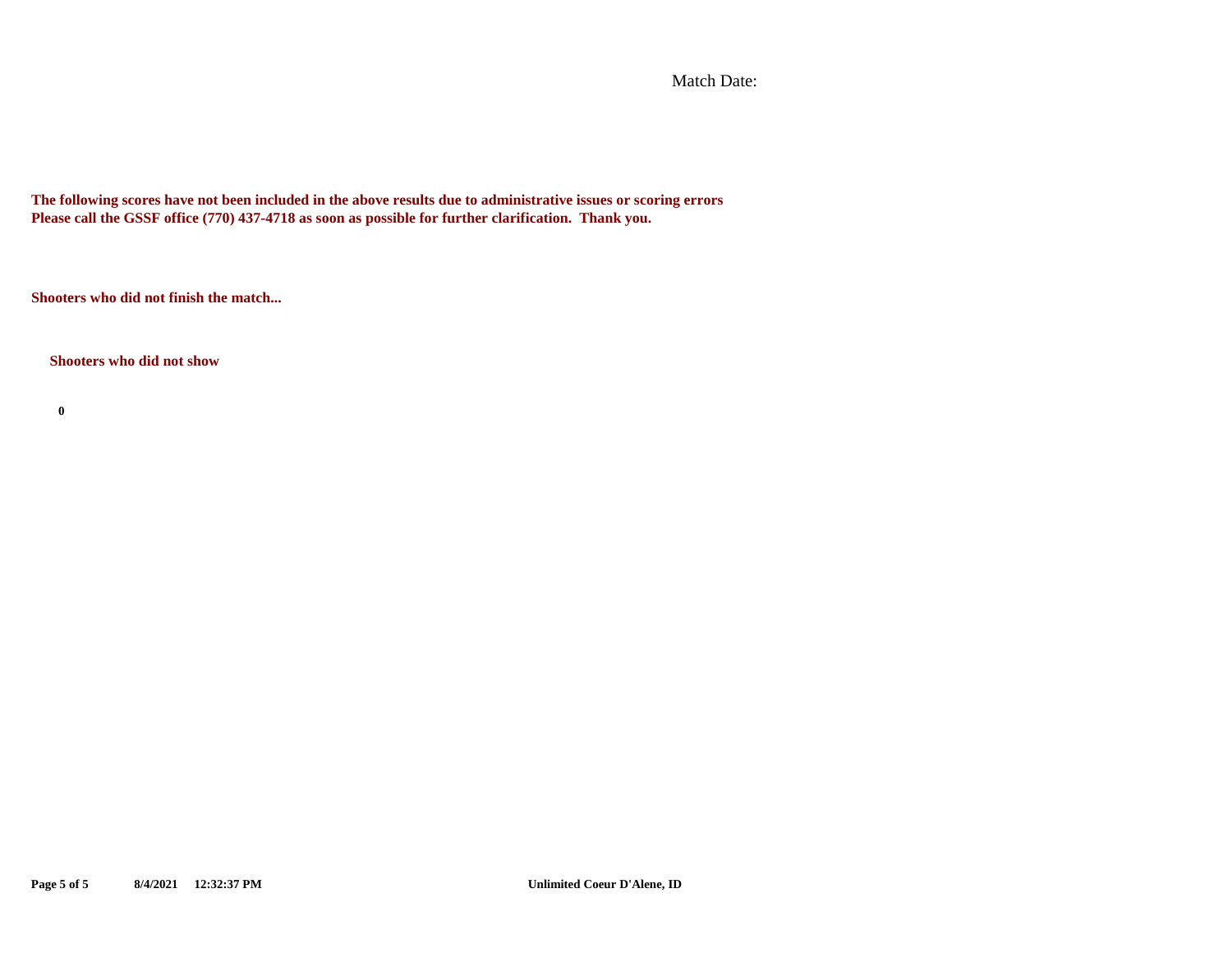Match Date:

**The following scores have not been included in the above results due to administrative issues or scoring errors Please call the GSSF office (770) 437-4718 as soon as possible for further clarification. Thank you.**

**Shooters who did not finish the match...**

#### **Shooters who did not show**

**0**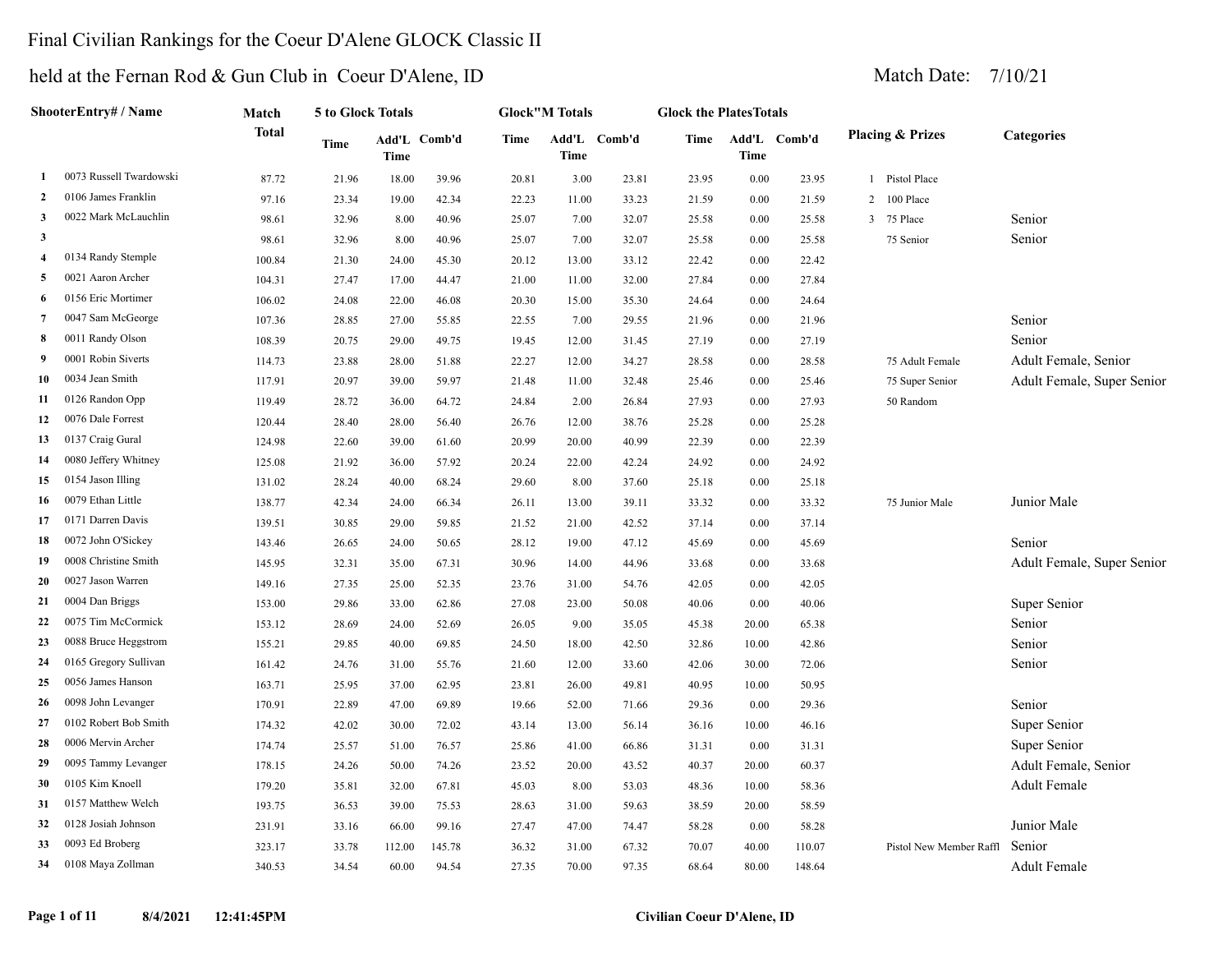### Final Civilian Rankings for the Coeur D'Alene GLOCK Classic II

|                | ShooterEntry# / Name    | Match        | 5 to Glock Totals |             |              |       | <b>Glock"M Totals</b> |              | <b>Glock the PlatesTotals</b> |             |              |   |                             |                            |
|----------------|-------------------------|--------------|-------------------|-------------|--------------|-------|-----------------------|--------------|-------------------------------|-------------|--------------|---|-----------------------------|----------------------------|
|                |                         | <b>Total</b> | Time              | <b>Time</b> | Add'L Comb'd | Time  | <b>Time</b>           | Add'L Comb'd | Time                          | <b>Time</b> | Add'L Comb'd |   | <b>Placing &amp; Prizes</b> | <b>Categories</b>          |
| -1             | 0073 Russell Twardowski | 87.72        | 21.96             | 18.00       | 39.96        | 20.81 | 3.00                  | 23.81        | 23.95                         | 0.00        | 23.95        |   | 1 Pistol Place              |                            |
| $\overline{2}$ | 0106 James Franklin     | 97.16        | 23.34             | 19.00       | 42.34        | 22.23 | 11.00                 | 33.23        | 21.59                         | $0.00\,$    | 21.59        | 2 | 100 Place                   |                            |
| 3              | 0022 Mark McLauchlin    | 98.61        | 32.96             | 8.00        | 40.96        | 25.07 | 7.00                  | 32.07        | 25.58                         | $0.00\,$    | 25.58        | 3 | 75 Place                    | Senior                     |
| $\mathbf{3}$   |                         | 98.61        | 32.96             | 8.00        | 40.96        | 25.07 | 7.00                  | 32.07        | 25.58                         | 0.00        | 25.58        |   | 75 Senior                   | Senior                     |
| $\overline{4}$ | 0134 Randy Stemple      | 100.84       | 21.30             | 24.00       | 45.30        | 20.12 | 13.00                 | 33.12        | 22.42                         | $0.00\,$    | 22.42        |   |                             |                            |
| 5              | 0021 Aaron Archer       | 104.31       | 27.47             | 17.00       | 44.47        | 21.00 | 11.00                 | 32.00        | 27.84                         | $0.00\,$    | 27.84        |   |                             |                            |
| -6             | 0156 Eric Mortimer      | 106.02       | 24.08             | 22.00       | 46.08        | 20.30 | 15.00                 | 35.30        | 24.64                         | 0.00        | 24.64        |   |                             |                            |
| 7              | 0047 Sam McGeorge       | 107.36       | 28.85             | 27.00       | 55.85        | 22.55 | 7.00                  | 29.55        | 21.96                         | 0.00        | 21.96        |   |                             | Senior                     |
| 8              | 0011 Randy Olson        | 108.39       | 20.75             | 29.00       | 49.75        | 19.45 | 12.00                 | 31.45        | 27.19                         | 0.00        | 27.19        |   |                             | Senior                     |
| - 9            | 0001 Robin Siverts      | 114.73       | 23.88             | 28.00       | 51.88        | 22.27 | 12.00                 | 34.27        | 28.58                         | $0.00\,$    | 28.58        |   | 75 Adult Female             | Adult Female, Senior       |
| 10             | 0034 Jean Smith         | 117.91       | 20.97             | 39.00       | 59.97        | 21.48 | 11.00                 | 32.48        | 25.46                         | $0.00\,$    | 25.46        |   | 75 Super Senior             | Adult Female, Super Senior |
| 11             | 0126 Randon Opp         | 119.49       | 28.72             | 36.00       | 64.72        | 24.84 | 2.00                  | 26.84        | 27.93                         | $0.00\,$    | 27.93        |   | 50 Random                   |                            |
| 12             | 0076 Dale Forrest       | 120.44       | 28.40             | 28.00       | 56.40        | 26.76 | 12.00                 | 38.76        | 25.28                         | 0.00        | 25.28        |   |                             |                            |
| 13             | 0137 Craig Gural        | 124.98       | 22.60             | 39.00       | 61.60        | 20.99 | 20.00                 | 40.99        | 22.39                         | 0.00        | 22.39        |   |                             |                            |
| 14             | 0080 Jeffery Whitney    | 125.08       | 21.92             | 36.00       | 57.92        | 20.24 | 22.00                 | 42.24        | 24.92                         | 0.00        | 24.92        |   |                             |                            |
| 15             | 0154 Jason Illing       | 131.02       | 28.24             | 40.00       | 68.24        | 29.60 | 8.00                  | 37.60        | 25.18                         | 0.00        | 25.18        |   |                             |                            |
| 16             | 0079 Ethan Little       | 138.77       | 42.34             | 24.00       | 66.34        | 26.11 | 13.00                 | 39.11        | 33.32                         | 0.00        | 33.32        |   | 75 Junior Male              | Junior Male                |
| 17             | 0171 Darren Davis       | 139.51       | 30.85             | 29.00       | 59.85        | 21.52 | 21.00                 | 42.52        | 37.14                         | 0.00        | 37.14        |   |                             |                            |
| 18             | 0072 John O'Sickey      | 143.46       | 26.65             | 24.00       | 50.65        | 28.12 | 19.00                 | 47.12        | 45.69                         | $0.00\,$    | 45.69        |   |                             | Senior                     |
| 19             | 0008 Christine Smith    | 145.95       | 32.31             | 35.00       | 67.31        | 30.96 | 14.00                 | 44.96        | 33.68                         | $0.00\,$    | 33.68        |   |                             | Adult Female, Super Senior |
| 20             | 0027 Jason Warren       | 149.16       | 27.35             | 25.00       | 52.35        | 23.76 | 31.00                 | 54.76        | 42.05                         | $0.00\,$    | 42.05        |   |                             |                            |
| 21             | 0004 Dan Briggs         | 153.00       | 29.86             | 33.00       | 62.86        | 27.08 | 23.00                 | 50.08        | 40.06                         | 0.00        | 40.06        |   |                             | Super Senior               |
| 22             | 0075 Tim McCormick      | 153.12       | 28.69             | 24.00       | 52.69        | 26.05 | 9.00                  | 35.05        | 45.38                         | 20.00       | 65.38        |   |                             | Senior                     |
| 23             | 0088 Bruce Heggstrom    | 155.21       | 29.85             | 40.00       | 69.85        | 24.50 | 18.00                 | 42.50        | 32.86                         | 10.00       | 42.86        |   |                             | Senior                     |
| 24             | 0165 Gregory Sullivan   | 161.42       | 24.76             | 31.00       | 55.76        | 21.60 | 12.00                 | 33.60        | 42.06                         | 30.00       | 72.06        |   |                             | Senior                     |
| 25             | 0056 James Hanson       | 163.71       | 25.95             | 37.00       | 62.95        | 23.81 | 26.00                 | 49.81        | 40.95                         | 10.00       | 50.95        |   |                             |                            |
| 26             | 0098 John Levanger      | 170.91       | 22.89             | 47.00       | 69.89        | 19.66 | 52.00                 | 71.66        | 29.36                         | 0.00        | 29.36        |   |                             | Senior                     |
| 27             | 0102 Robert Bob Smith   | 174.32       | 42.02             | 30.00       | 72.02        | 43.14 | 13.00                 | 56.14        | 36.16                         | 10.00       | 46.16        |   |                             | Super Senior               |
| 28             | 0006 Mervin Archer      | 174.74       | 25.57             | 51.00       | 76.57        | 25.86 | 41.00                 | 66.86        | 31.31                         | 0.00        | 31.31        |   |                             | Super Senior               |
| 29             | 0095 Tammy Levanger     | 178.15       | 24.26             | 50.00       | 74.26        | 23.52 | 20.00                 | 43.52        | 40.37                         | 20.00       | 60.37        |   |                             | Adult Female, Senior       |
| 30             | 0105 Kim Knoell         | 179.20       | 35.81             | 32.00       | 67.81        | 45.03 | 8.00                  | 53.03        | 48.36                         | 10.00       | 58.36        |   |                             | <b>Adult Female</b>        |
| 31             | 0157 Matthew Welch      | 193.75       | 36.53             | 39.00       | 75.53        | 28.63 | 31.00                 | 59.63        | 38.59                         | 20.00       | 58.59        |   |                             |                            |
| 32             | 0128 Josiah Johnson     | 231.91       | 33.16             | 66.00       | 99.16        | 27.47 | 47.00                 | 74.47        | 58.28                         | 0.00        | 58.28        |   |                             | Junior Male                |
| 33             | 0093 Ed Broberg         | 323.17       | 33.78             | 112.00      | 145.78       | 36.32 | 31.00                 | 67.32        | 70.07                         | 40.00       | 110.07       |   | Pistol New Member Raffl     | Senior                     |
| 34             | 0108 Maya Zollman       | 340.53       | 34.54             | 60.00       | 94.54        | 27.35 | 70.00                 | 97.35        | 68.64                         | 80.00       | 148.64       |   |                             | Adult Female               |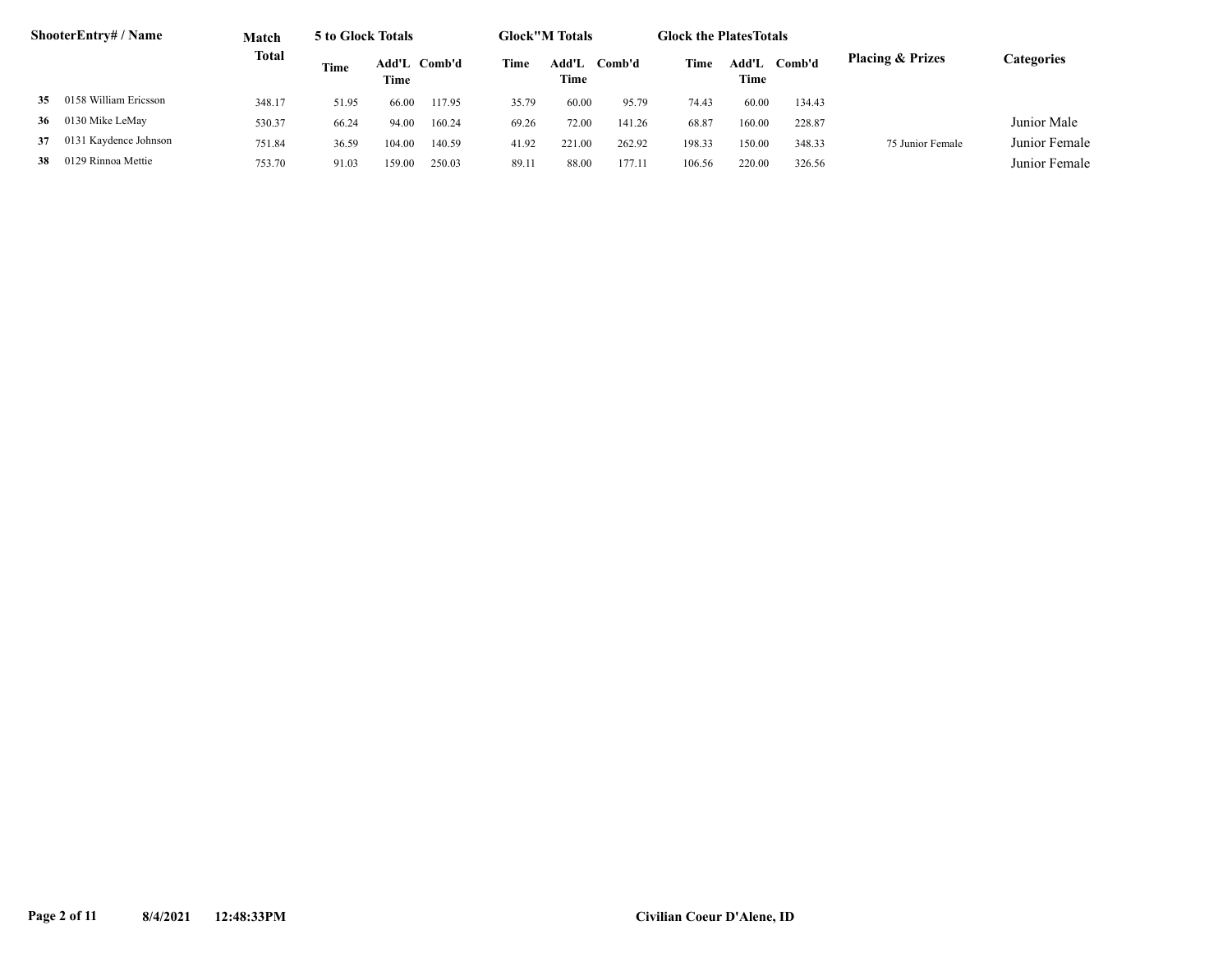|    | ShooterEntry# / Name        | Match        | 5 to Glock Totals |                      |        |       | <b>Glock</b> "M Totals |        | <b>Glock the Plates Totals</b> |               |        |                             |               |
|----|-----------------------------|--------------|-------------------|----------------------|--------|-------|------------------------|--------|--------------------------------|---------------|--------|-----------------------------|---------------|
|    | 0158 William Ericsson<br>35 | <b>Total</b> | Time              | Add'L Comb'd<br>Time |        | Time  | Add'L<br>Time          | Comb'd | Time                           | Add'L<br>Time | Comb'd | <b>Placing &amp; Prizes</b> | Categories    |
|    |                             | 348.17       | 51.95             | 66.00                | 117.95 | 35.79 | 60.00                  | 95.79  | 74.43                          | 60.00         | 134.43 |                             |               |
| 36 | 0130 Mike LeMay             | 530.37       | 66.24             | 94.00                | 160.24 | 69.26 | 72.00                  | 141.26 | 68.87                          | 160.00        | 228.87 |                             | Junior Male   |
| 37 | 0131 Kaydence Johnson       | 751.84       | 36.59             | 104.00               | 140.59 | 41.92 | 221.00                 | 262.92 | 198.33                         | 150.00        | 348.33 | 75 Junior Female            | Junior Female |
| 38 | 0129 Rinnoa Mettie          | 753.70       | 91.03             | 159.00               | 250.03 | 89.11 | 88.00                  | 177.1  | 106.56                         | 220.00        | 326.56 |                             | Junior Female |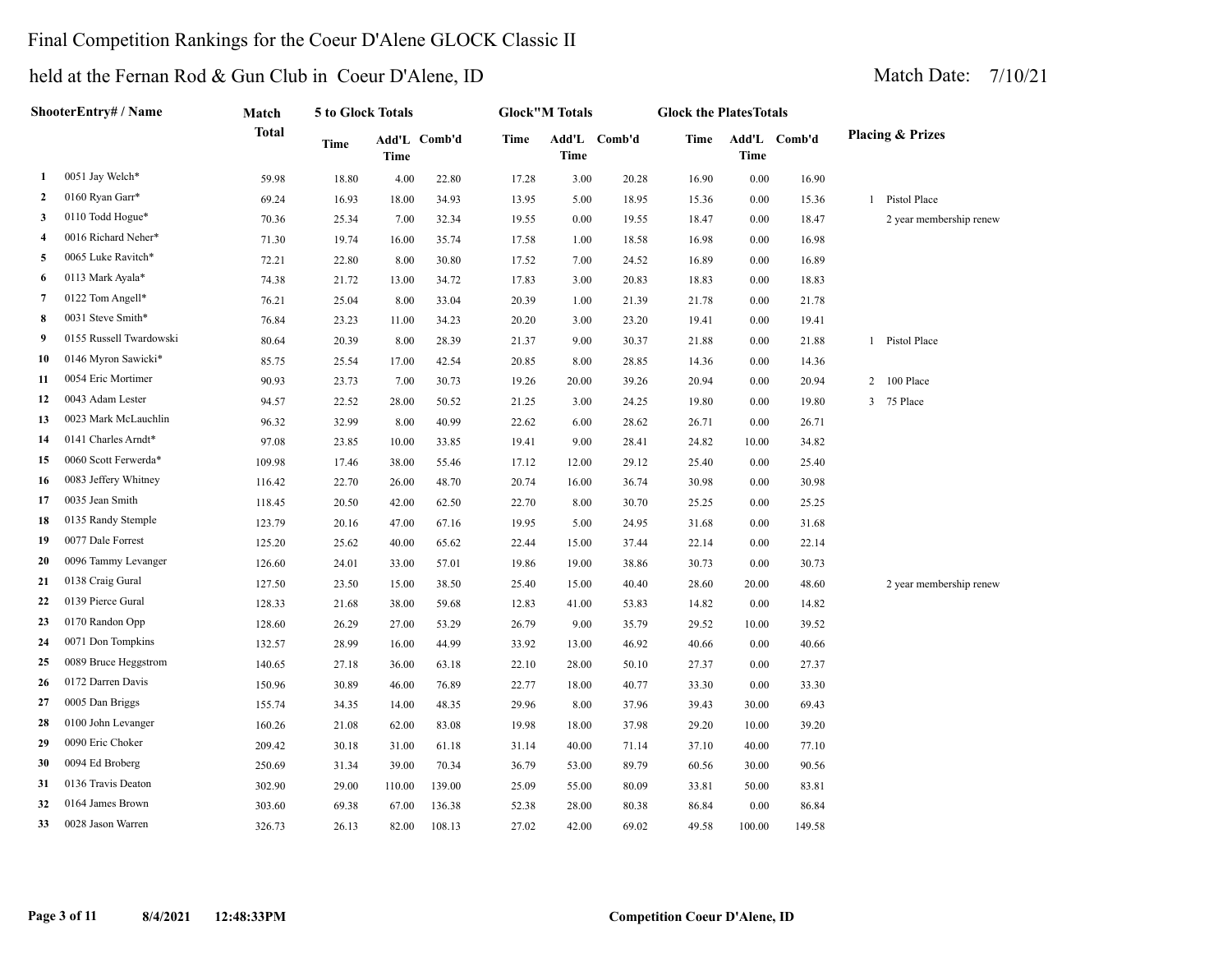#### Final Competition Rankings for the Coeur D'Alene GLOCK Classic II

#### held at the Fernan Rod & Gun Club in Coeur D'Alene, ID Match Date: 7/10/21

|                | ShooterEntry# / Name    | Match        | 5 to Glock Totals |             |              |             | <b>Glock"M Totals</b> |        | <b>Glock the Plates Totals</b> |             |              |                             |
|----------------|-------------------------|--------------|-------------------|-------------|--------------|-------------|-----------------------|--------|--------------------------------|-------------|--------------|-----------------------------|
|                |                         | <b>Total</b> | Time              | <b>Time</b> | Add'L Comb'd | <b>Time</b> | Add'L<br><b>Time</b>  | Comb'd | Time                           | <b>Time</b> | Add'L Comb'd | <b>Placing &amp; Prizes</b> |
| 1              | 0051 Jay Welch*         | 59.98        | 18.80             | 4.00        | 22.80        | 17.28       | 3.00                  | 20.28  | 16.90                          | 0.00        | 16.90        |                             |
| 2              | 0160 Ryan Garr*         | 69.24        | 16.93             | 18.00       | 34.93        | 13.95       | 5.00                  | 18.95  | 15.36                          | 0.00        | 15.36        | 1 Pistol Place              |
| 3              | 0110 Todd Hogue*        | 70.36        | 25.34             | 7.00        | 32.34        | 19.55       | 0.00                  | 19.55  | 18.47                          | 0.00        | 18.47        | 2 year membership renew     |
| 4              | 0016 Richard Neher*     | 71.30        | 19.74             | 16.00       | 35.74        | 17.58       | 1.00                  | 18.58  | 16.98                          | 0.00        | 16.98        |                             |
| 5              | 0065 Luke Ravitch*      | 72.21        | 22.80             | 8.00        | 30.80        | 17.52       | 7.00                  | 24.52  | 16.89                          | 0.00        | 16.89        |                             |
| 6              | 0113 Mark Ayala*        | 74.38        | 21.72             | 13.00       | 34.72        | 17.83       | 3.00                  | 20.83  | 18.83                          | 0.00        | 18.83        |                             |
| $\overline{7}$ | 0122 Tom Angell*        | 76.21        | 25.04             | 8.00        | 33.04        | 20.39       | 1.00                  | 21.39  | 21.78                          | 0.00        | 21.78        |                             |
| 8              | 0031 Steve Smith*       | 76.84        | 23.23             | 11.00       | 34.23        | 20.20       | 3.00                  | 23.20  | 19.41                          | 0.00        | 19.41        |                             |
| 9              | 0155 Russell Twardowski | 80.64        | 20.39             | 8.00        | 28.39        | 21.37       | 9.00                  | 30.37  | 21.88                          | 0.00        | 21.88        | 1 Pistol Place              |
| 10             | 0146 Myron Sawicki*     | 85.75        | 25.54             | 17.00       | 42.54        | 20.85       | 8.00                  | 28.85  | 14.36                          | 0.00        | 14.36        |                             |
| 11             | 0054 Eric Mortimer      | 90.93        | 23.73             | 7.00        | 30.73        | 19.26       | 20.00                 | 39.26  | 20.94                          | 0.00        | 20.94        | 2 100 Place                 |
| 12             | 0043 Adam Lester        | 94.57        | 22.52             | 28.00       | 50.52        | 21.25       | 3.00                  | 24.25  | 19.80                          | 0.00        | 19.80        | 3 75 Place                  |
| 13             | 0023 Mark McLauchlin    | 96.32        | 32.99             | 8.00        | 40.99        | 22.62       | 6.00                  | 28.62  | 26.71                          | 0.00        | 26.71        |                             |
| 14             | 0141 Charles Arndt*     | 97.08        | 23.85             | 10.00       | 33.85        | 19.41       | 9.00                  | 28.41  | 24.82                          | 10.00       | 34.82        |                             |
| 15             | 0060 Scott Ferwerda*    | 109.98       | 17.46             | 38.00       | 55.46        | 17.12       | 12.00                 | 29.12  | 25.40                          | 0.00        | 25.40        |                             |
| 16             | 0083 Jeffery Whitney    | 116.42       | 22.70             | 26.00       | 48.70        | 20.74       | 16.00                 | 36.74  | 30.98                          | 0.00        | 30.98        |                             |
| 17             | 0035 Jean Smith         | 118.45       | 20.50             | 42.00       | 62.50        | 22.70       | 8.00                  | 30.70  | 25.25                          | 0.00        | 25.25        |                             |
| 18             | 0135 Randy Stemple      | 123.79       | 20.16             | 47.00       | 67.16        | 19.95       | 5.00                  | 24.95  | 31.68                          | 0.00        | 31.68        |                             |
| 19             | 0077 Dale Forrest       | 125.20       | 25.62             | 40.00       | 65.62        | 22.44       | 15.00                 | 37.44  | 22.14                          | 0.00        | 22.14        |                             |
| 20             | 0096 Tammy Levanger     | 126.60       | 24.01             | 33.00       | 57.01        | 19.86       | 19.00                 | 38.86  | 30.73                          | 0.00        | 30.73        |                             |
| 21             | 0138 Craig Gural        | 127.50       | 23.50             | 15.00       | 38.50        | 25.40       | 15.00                 | 40.40  | 28.60                          | 20.00       | 48.60        | 2 year membership renew     |
| 22             | 0139 Pierce Gural       | 128.33       | 21.68             | 38.00       | 59.68        | 12.83       | 41.00                 | 53.83  | 14.82                          | 0.00        | 14.82        |                             |
| 23             | 0170 Randon Opp         | 128.60       | 26.29             | 27.00       | 53.29        | 26.79       | 9.00                  | 35.79  | 29.52                          | 10.00       | 39.52        |                             |
| 24             | 0071 Don Tompkins       | 132.57       | 28.99             | 16.00       | 44.99        | 33.92       | 13.00                 | 46.92  | 40.66                          | 0.00        | 40.66        |                             |
| 25             | 0089 Bruce Heggstrom    | 140.65       | 27.18             | 36.00       | 63.18        | 22.10       | 28.00                 | 50.10  | 27.37                          | 0.00        | 27.37        |                             |
| 26             | 0172 Darren Davis       | 150.96       | 30.89             | 46.00       | 76.89        | 22.77       | 18.00                 | 40.77  | 33.30                          | 0.00        | 33.30        |                             |
| 27             | 0005 Dan Briggs         | 155.74       | 34.35             | 14.00       | 48.35        | 29.96       | 8.00                  | 37.96  | 39.43                          | 30.00       | 69.43        |                             |

 0100 John Levanger 160.26 21.08 62.00 83.08 19.98 18.00 37.98 29.20 10.00 39.20 0090 Eric Choker 209.42 30.18 31.00 61.18 31.14 40.00 71.14 37.10 40.00 77.10 0094 Ed Broberg 250.69 31.34 39.00 70.34 36.79 53.00 89.79 60.56 30.00 90.56 0136 Travis Deaton 302.90 29.00 110.00 139.00 25.09 55.00 80.09 33.81 50.00 83.81 0164 James Brown 303.60 69.38 67.00 136.38 52.38 28.00 80.38 86.84 0.00 86.84 0028 Jason Warren 326.73 26.13 82.00 108.13 27.02 42.00 69.02 49.58 100.00 149.58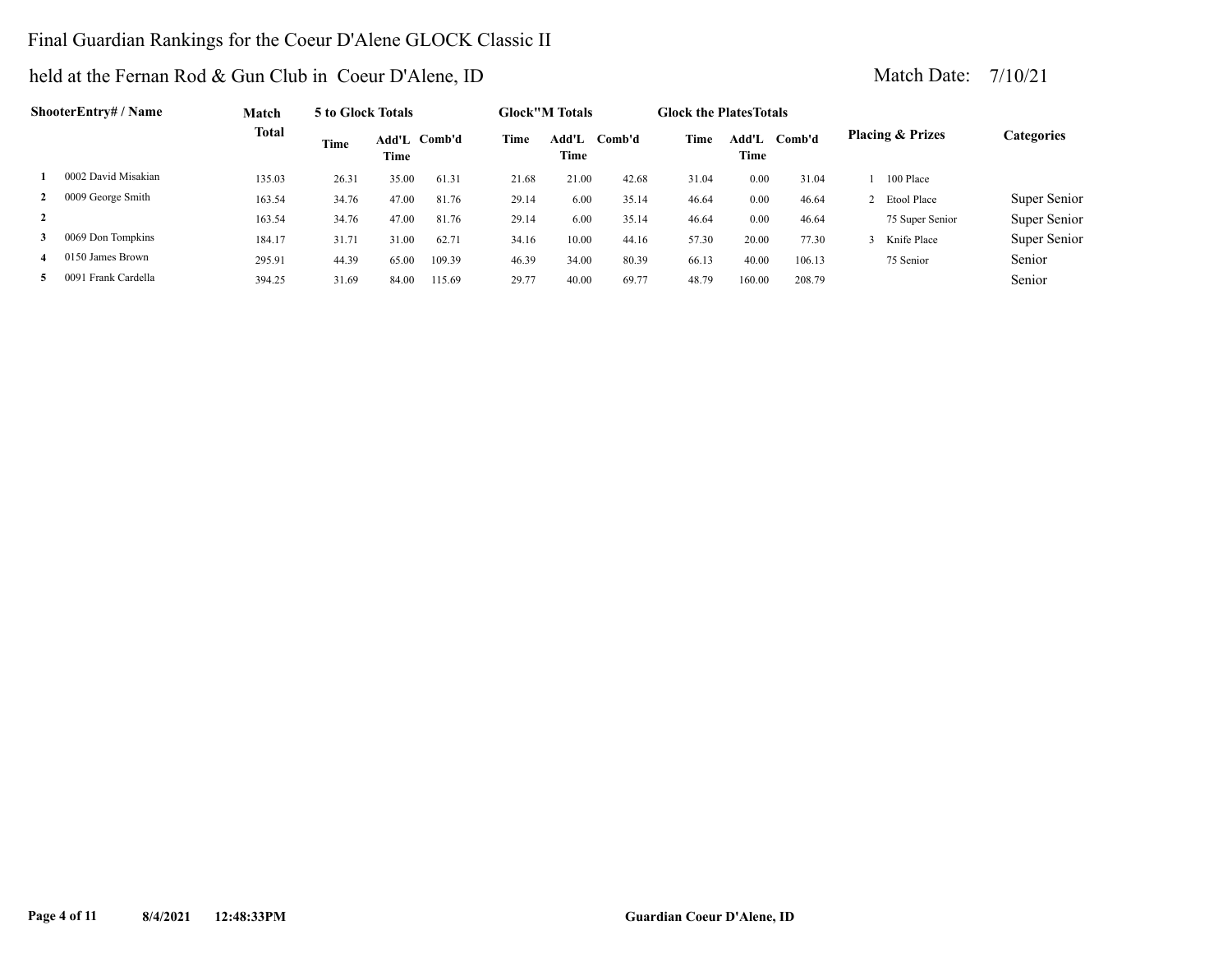### Final Guardian Rankings for the Coeur D'Alene GLOCK Classic II

|                | ShooterEntry# / Name     | Match        | 5 to Glock Totals |       |              |       | <b>Glock</b> "M Totals |        | <b>Glock the PlatesTotals</b> |               |        |                             |              |
|----------------|--------------------------|--------------|-------------------|-------|--------------|-------|------------------------|--------|-------------------------------|---------------|--------|-----------------------------|--------------|
|                |                          | <b>Total</b> | Time              | Time  | Add'L Comb'd | Time  | Add'L<br>Time          | Comb'd | Time                          | Add'L<br>Time | Comb'd | <b>Placing &amp; Prizes</b> | Categories   |
|                | 0002 David Misakian      | 135.03       | 26.31             | 35.00 | 61.31        | 21.68 | 21.00                  | 42.68  | 31.04                         | 0.00          | 31.04  | 100 Place                   |              |
| 2              | 0009 George Smith        | 163.54       | 34.76             | 47.00 | 81.76        | 29.14 | 6.00                   | 35.14  | 46.64                         | 0.00          | 46.64  | 2 Etool Place               | Super Senior |
| $\overline{2}$ |                          | 163.54       | 34.76             | 47.00 | 81.76        | 29.14 | 6.00                   | 35.14  | 46.64                         | 0.00          | 46.64  | 75 Super Senior             | Super Senior |
| 3              | 0069 Don Tompkins        | 184.17       | 31.71             | 31.00 | 62.71        | 34.16 | 10.00                  | 44.16  | 57.30                         | 20.00         | 77.30  | Knife Place                 | Super Senior |
|                | 0150 James Brown         | 295.91       | 44.39             | 65.00 | 109.39       | 46.39 | 34.00                  | 80.39  | 66.13                         | 40.00         | 106.13 | 75 Senior                   | Senior       |
| 5.             | l Frank Cardella<br>0091 | 394.25       | 31.69             | 84.00 | 115.69       | 29.77 | 40.00                  | 69.77  | 48.79                         | 160.00        | 208.79 |                             | Senior       |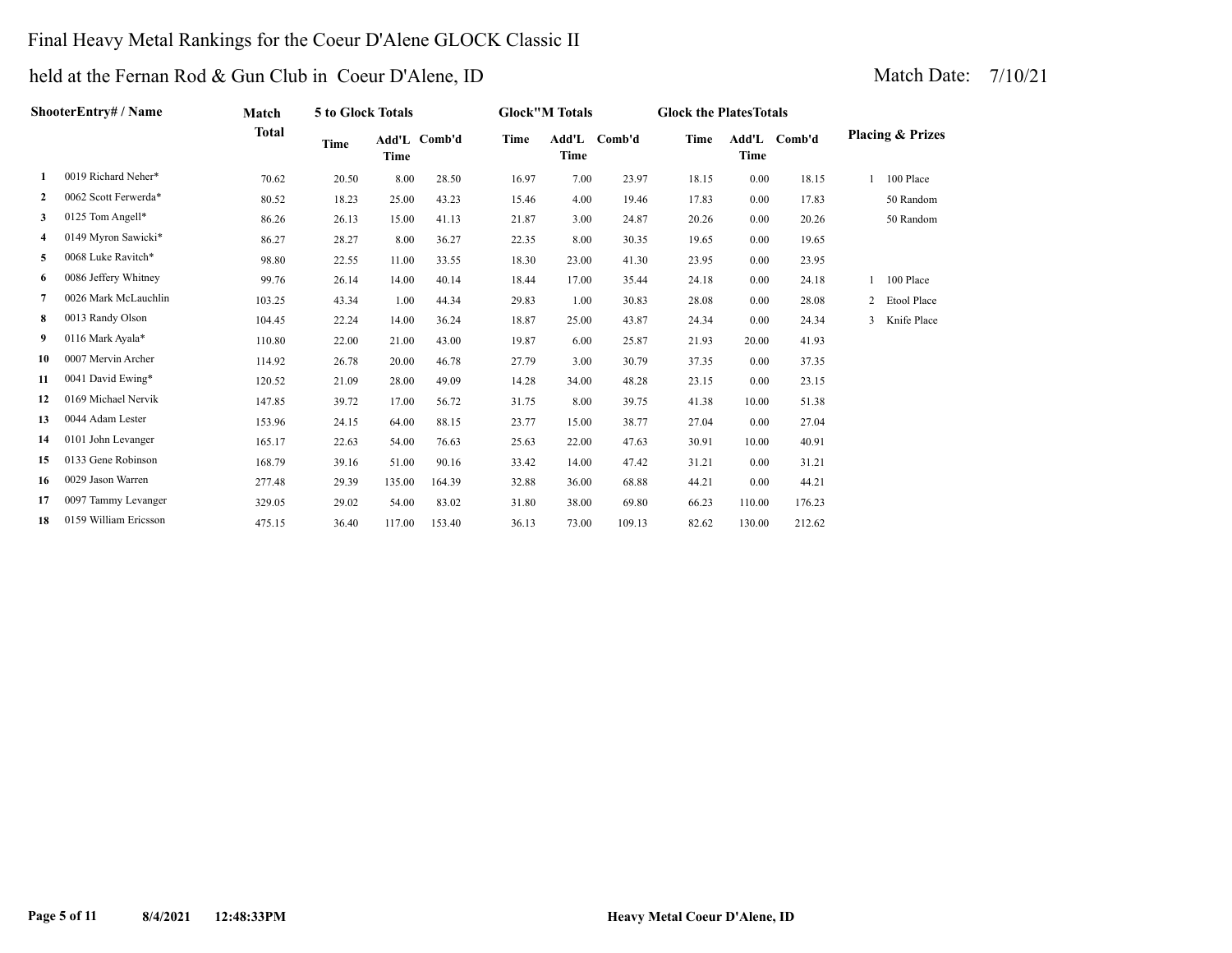### Final Heavy Metal Rankings for the Coeur D'Alene GLOCK Classic II

|              | ShooterEntry# / Name  | Match  | 5 to Glock Totals |        |              |       | <b>Glock"M Totals</b> |              | <b>Glock the Plates Totals</b> |        |              |                |                             |
|--------------|-----------------------|--------|-------------------|--------|--------------|-------|-----------------------|--------------|--------------------------------|--------|--------------|----------------|-----------------------------|
|              |                       | Total  | Time              | Time   | Add'L Comb'd | Time  | Time                  | Add'L Comb'd | Time                           | Time   | Add'L Comb'd |                | <b>Placing &amp; Prizes</b> |
| 1            | 0019 Richard Neher*   | 70.62  | 20.50             | 8.00   | 28.50        | 16.97 | 7.00                  | 23.97        | 18.15                          | 0.00   | 18.15        |                | 100 Place                   |
| $\mathbf{2}$ | 0062 Scott Ferwerda*  | 80.52  | 18.23             | 25.00  | 43.23        | 15.46 | 4.00                  | 19.46        | 17.83                          | 0.00   | 17.83        |                | 50 Random                   |
| 3            | 0125 Tom Angell*      | 86.26  | 26.13             | 15.00  | 41.13        | 21.87 | 3.00                  | 24.87        | 20.26                          | 0.00   | 20.26        |                | 50 Random                   |
| 4            | 0149 Myron Sawicki*   | 86.27  | 28.27             | 8.00   | 36.27        | 22.35 | 8.00                  | 30.35        | 19.65                          | 0.00   | 19.65        |                |                             |
| 5            | 0068 Luke Ravitch*    | 98.80  | 22.55             | 11.00  | 33.55        | 18.30 | 23.00                 | 41.30        | 23.95                          | 0.00   | 23.95        |                |                             |
| 6            | 0086 Jeffery Whitney  | 99.76  | 26.14             | 14.00  | 40.14        | 18.44 | 17.00                 | 35.44        | 24.18                          | 0.00   | 24.18        |                | 100 Place                   |
| 7            | 0026 Mark McLauchlin  | 103.25 | 43.34             | 1.00   | 44.34        | 29.83 | 1.00                  | 30.83        | 28.08                          | 0.00   | 28.08        | $\overline{2}$ | Etool Place                 |
| 8            | 0013 Randy Olson      | 104.45 | 22.24             | 14.00  | 36.24        | 18.87 | 25.00                 | 43.87        | 24.34                          | 0.00   | 24.34        | 3              | Knife Place                 |
| 9            | 0116 Mark Ayala*      | 110.80 | 22.00             | 21.00  | 43.00        | 19.87 | 6.00                  | 25.87        | 21.93                          | 20.00  | 41.93        |                |                             |
| 10           | 0007 Mervin Archer    | 114.92 | 26.78             | 20.00  | 46.78        | 27.79 | 3.00                  | 30.79        | 37.35                          | 0.00   | 37.35        |                |                             |
| 11           | 0041 David Ewing*     | 120.52 | 21.09             | 28.00  | 49.09        | 14.28 | 34.00                 | 48.28        | 23.15                          | 0.00   | 23.15        |                |                             |
| 12           | 0169 Michael Nervik   | 147.85 | 39.72             | 17.00  | 56.72        | 31.75 | 8.00                  | 39.75        | 41.38                          | 10.00  | 51.38        |                |                             |
| 13           | 0044 Adam Lester      | 153.96 | 24.15             | 64.00  | 88.15        | 23.77 | 15.00                 | 38.77        | 27.04                          | 0.00   | 27.04        |                |                             |
| 14           | 0101 John Levanger    | 165.17 | 22.63             | 54.00  | 76.63        | 25.63 | 22.00                 | 47.63        | 30.91                          | 10.00  | 40.91        |                |                             |
| 15           | 0133 Gene Robinson    | 168.79 | 39.16             | 51.00  | 90.16        | 33.42 | 14.00                 | 47.42        | 31.21                          | 0.00   | 31.21        |                |                             |
| 16           | 0029 Jason Warren     | 277.48 | 29.39             | 135.00 | 164.39       | 32.88 | 36.00                 | 68.88        | 44.21                          | 0.00   | 44.21        |                |                             |
| 17           | 0097 Tammy Levanger   | 329.05 | 29.02             | 54.00  | 83.02        | 31.80 | 38.00                 | 69.80        | 66.23                          | 110.00 | 176.23       |                |                             |
| 18           | 0159 William Ericsson | 475.15 | 36.40             | 117.00 | 153.40       | 36.13 | 73.00                 | 109.13       | 82.62                          | 130.00 | 212.62       |                |                             |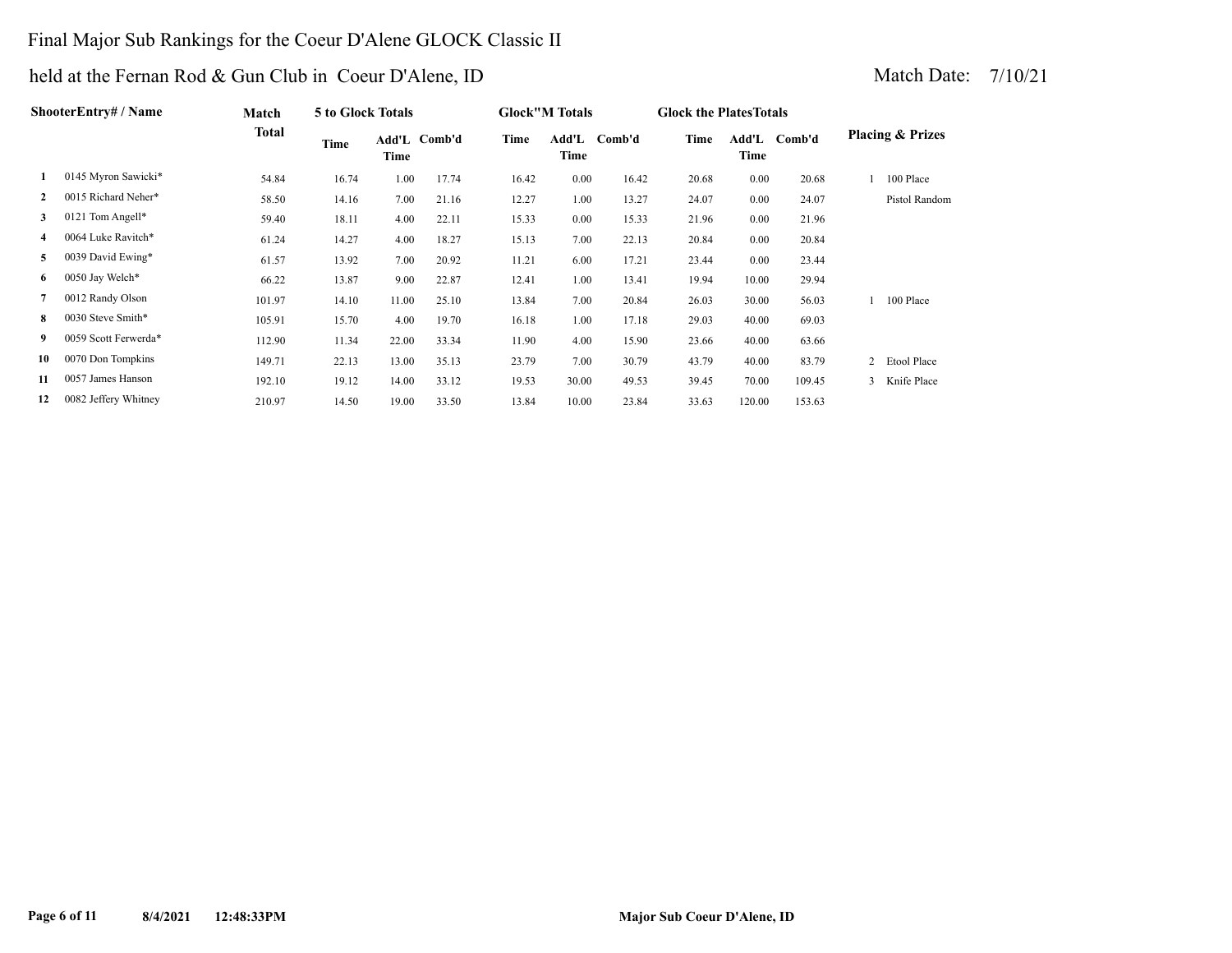### Final Major Sub Rankings for the Coeur D'Alene GLOCK Classic II

|              | <b>ShooterEntry# / Name</b> | Match  | 5 to Glock Totals |       |              |       | <b>Glock</b> "M Totals |        | <b>Glock the Plates Totals</b> |        |              |                |                             |
|--------------|-----------------------------|--------|-------------------|-------|--------------|-------|------------------------|--------|--------------------------------|--------|--------------|----------------|-----------------------------|
|              |                             | Total  | Time              | Time  | Add'L Comb'd | Time  | Add'L<br>Time          | Comb'd | Time                           | Time   | Add'L Comb'd |                | <b>Placing &amp; Prizes</b> |
| 1            | 0145 Myron Sawicki*         | 54.84  | 16.74             | 1.00  | 17.74        | 16.42 | 0.00                   | 16.42  | 20.68                          | 0.00   | 20.68        |                | 100 Place                   |
| $\mathbf{2}$ | 0015 Richard Neher*         | 58.50  | 14.16             | 7.00  | 21.16        | 12.27 | 1.00                   | 13.27  | 24.07                          | 0.00   | 24.07        |                | Pistol Random               |
| 3            | 0121 Tom Angell*            | 59.40  | 18.11             | 4.00  | 22.11        | 15.33 | 0.00                   | 15.33  | 21.96                          | 0.00   | 21.96        |                |                             |
|              | 0064 Luke Ravitch*          | 61.24  | 14.27             | 4.00  | 18.27        | 15.13 | 7.00                   | 22.13  | 20.84                          | 0.00   | 20.84        |                |                             |
| 5            | 0039 David Ewing*           | 61.57  | 13.92             | 7.00  | 20.92        | 11.21 | 6.00                   | 17.21  | 23.44                          | 0.00   | 23.44        |                |                             |
| 6            | 0050 Jay Welch*             | 66.22  | 13.87             | 9.00  | 22.87        | 12.41 | 1.00                   | 13.41  | 19.94                          | 10.00  | 29.94        |                |                             |
| 7            | 0012 Randy Olson            | 101.97 | 14.10             | 11.00 | 25.10        | 13.84 | 7.00                   | 20.84  | 26.03                          | 30.00  | 56.03        |                | 100 Place                   |
| 8            | 0030 Steve Smith*           | 105.91 | 15.70             | 4.00  | 19.70        | 16.18 | 1.00                   | 17.18  | 29.03                          | 40.00  | 69.03        |                |                             |
| 9.           | 0059 Scott Ferwerda*        | 112.90 | 11.34             | 22.00 | 33.34        | 11.90 | 4.00                   | 15.90  | 23.66                          | 40.00  | 63.66        |                |                             |
| 10           | 0070 Don Tompkins           | 149.71 | 22.13             | 13.00 | 35.13        | 23.79 | 7.00                   | 30.79  | 43.79                          | 40.00  | 83.79        | $\overline{2}$ | Etool Place                 |
| 11           | 0057 James Hanson           | 192.10 | 19.12             | 14.00 | 33.12        | 19.53 | 30.00                  | 49.53  | 39.45                          | 70.00  | 109.45       | 3              | Knife Place                 |
| 12           | 0082 Jeffery Whitney        | 210.97 | 14.50             | 19.00 | 33.50        | 13.84 | 10.00                  | 23.84  | 33.63                          | 120.00 | 153.63       |                |                             |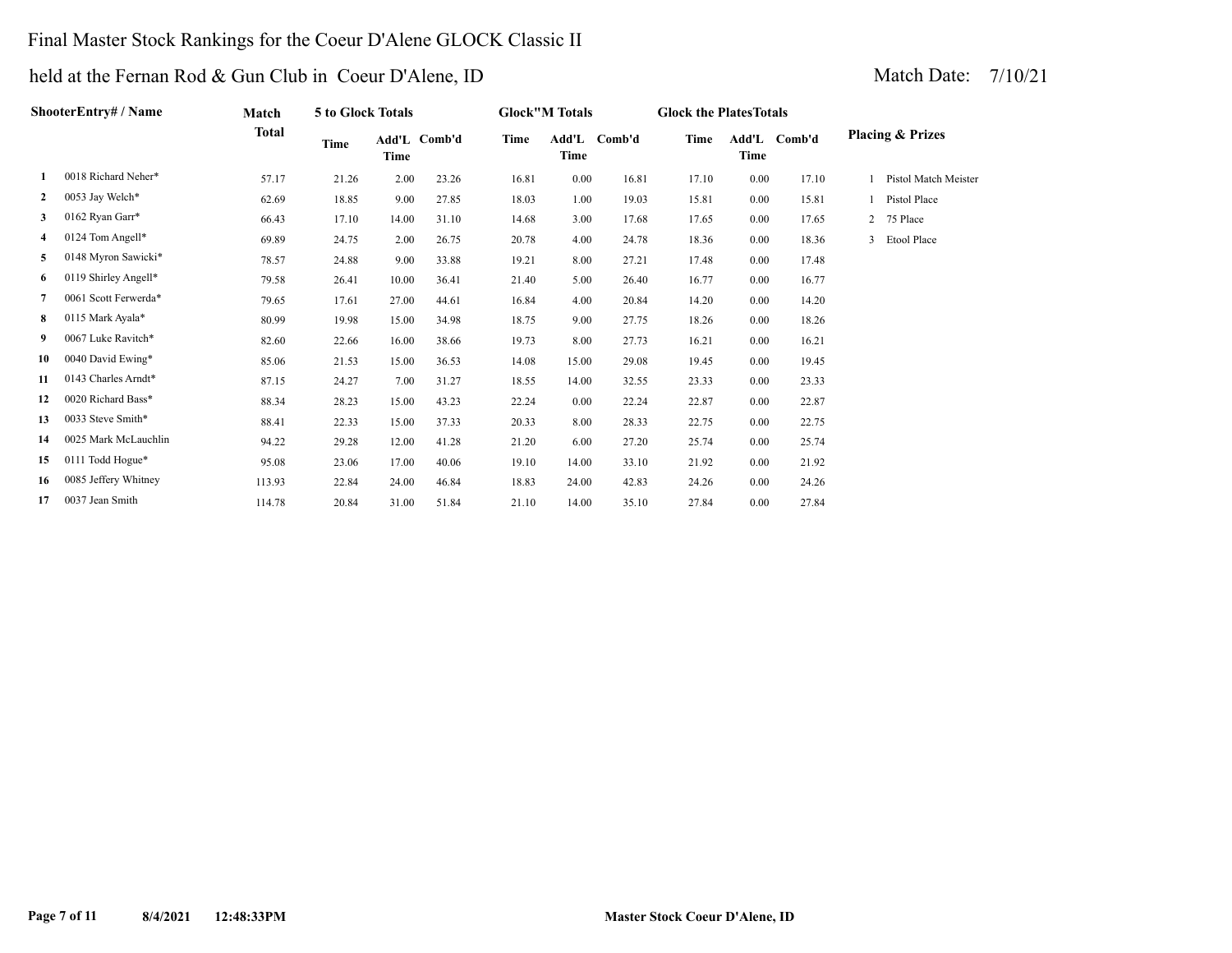### Final Master Stock Rankings for the Coeur D'Alene GLOCK Classic II

|              | ShooterEntry# / Name | Match        | 5 to Glock Totals |       |              |       | <b>Glock"M Totals</b> |              | <b>Glock the Plates Totals</b> |      |              |   |                             |
|--------------|----------------------|--------------|-------------------|-------|--------------|-------|-----------------------|--------------|--------------------------------|------|--------------|---|-----------------------------|
|              |                      | <b>Total</b> | Time              | Time  | Add'L Comb'd | Time  | Time                  | Add'L Comb'd | Time                           | Time | Add'L Comb'd |   | <b>Placing &amp; Prizes</b> |
| 1            | 0018 Richard Neher*  | 57.17        | 21.26             | 2.00  | 23.26        | 16.81 | 0.00                  | 16.81        | 17.10                          | 0.00 | 17.10        |   | Pistol Match Meister        |
| $\mathbf{2}$ | 0053 Jay Welch*      | 62.69        | 18.85             | 9.00  | 27.85        | 18.03 | 1.00                  | 19.03        | 15.81                          | 0.00 | 15.81        |   | Pistol Place                |
| 3            | 0162 Ryan Garr*      | 66.43        | 17.10             | 14.00 | 31.10        | 14.68 | 3.00                  | 17.68        | 17.65                          | 0.00 | 17.65        |   | 75 Place                    |
| 4            | 0124 Tom Angell*     | 69.89        | 24.75             | 2.00  | 26.75        | 20.78 | 4.00                  | 24.78        | 18.36                          | 0.00 | 18.36        | 3 | Etool Place                 |
| 5            | 0148 Myron Sawicki*  | 78.57        | 24.88             | 9.00  | 33.88        | 19.21 | 8.00                  | 27.21        | 17.48                          | 0.00 | 17.48        |   |                             |
| 6            | 0119 Shirley Angell* | 79.58        | 26.41             | 10.00 | 36.41        | 21.40 | 5.00                  | 26.40        | 16.77                          | 0.00 | 16.77        |   |                             |
| 7            | 0061 Scott Ferwerda* | 79.65        | 17.61             | 27.00 | 44.61        | 16.84 | 4.00                  | 20.84        | 14.20                          | 0.00 | 14.20        |   |                             |
| 8            | 0115 Mark Ayala*     | 80.99        | 19.98             | 15.00 | 34.98        | 18.75 | 9.00                  | 27.75        | 18.26                          | 0.00 | 18.26        |   |                             |
| 9            | 0067 Luke Ravitch*   | 82.60        | 22.66             | 16.00 | 38.66        | 19.73 | 8.00                  | 27.73        | 16.21                          | 0.00 | 16.21        |   |                             |
| 10           | 0040 David Ewing*    | 85.06        | 21.53             | 15.00 | 36.53        | 14.08 | 15.00                 | 29.08        | 19.45                          | 0.00 | 19.45        |   |                             |
| 11           | 0143 Charles Arndt*  | 87.15        | 24.27             | 7.00  | 31.27        | 18.55 | 14.00                 | 32.55        | 23.33                          | 0.00 | 23.33        |   |                             |
| 12           | 0020 Richard Bass*   | 88.34        | 28.23             | 15.00 | 43.23        | 22.24 | 0.00                  | 22.24        | 22.87                          | 0.00 | 22.87        |   |                             |
| 13           | 0033 Steve Smith*    | 88.41        | 22.33             | 15.00 | 37.33        | 20.33 | 8.00                  | 28.33        | 22.75                          | 0.00 | 22.75        |   |                             |
| 14           | 0025 Mark McLauchlin | 94.22        | 29.28             | 12.00 | 41.28        | 21.20 | 6.00                  | 27.20        | 25.74                          | 0.00 | 25.74        |   |                             |
| 15           | 0111 Todd Hogue*     | 95.08        | 23.06             | 17.00 | 40.06        | 19.10 | 14.00                 | 33.10        | 21.92                          | 0.00 | 21.92        |   |                             |
| 16           | 0085 Jeffery Whitney | 113.93       | 22.84             | 24.00 | 46.84        | 18.83 | 24.00                 | 42.83        | 24.26                          | 0.00 | 24.26        |   |                             |
| 17           | 0037 Jean Smith      | 114.78       | 20.84             | 31.00 | 51.84        | 21.10 | 14.00                 | 35.10        | 27.84                          | 0.00 | 27.84        |   |                             |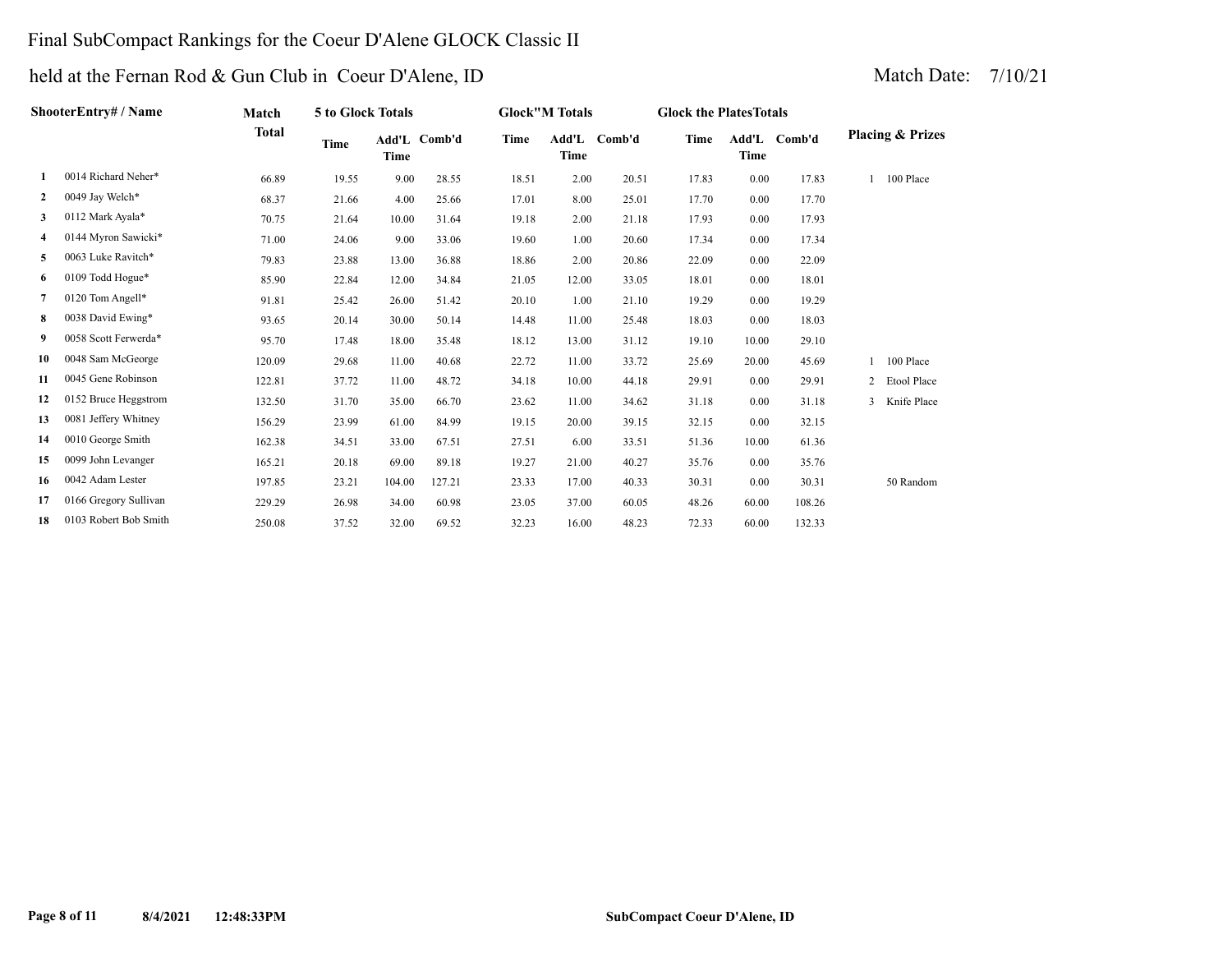### Final SubCompact Rankings for the Coeur D'Alene GLOCK Classic II

|              | ShooterEntry# / Name  | Match        | 5 to Glock Totals |             |              |       | <b>Glock"M Totals</b> |              | <b>Glock the Plates Totals</b> |             |              |                             |
|--------------|-----------------------|--------------|-------------------|-------------|--------------|-------|-----------------------|--------------|--------------------------------|-------------|--------------|-----------------------------|
|              |                       | <b>Total</b> | Time              | <b>Time</b> | Add'L Comb'd | Time  | <b>Time</b>           | Add'L Comb'd | Time                           | <b>Time</b> | Add'L Comb'd | <b>Placing &amp; Prizes</b> |
| 1            | 0014 Richard Neher*   | 66.89        | 19.55             | 9.00        | 28.55        | 18.51 | 2.00                  | 20.51        | 17.83                          | 0.00        | 17.83        | 100 Place                   |
| $\mathbf{2}$ | 0049 Jay Welch*       | 68.37        | 21.66             | 4.00        | 25.66        | 17.01 | 8.00                  | 25.01        | 17.70                          | 0.00        | 17.70        |                             |
| 3            | 0112 Mark Ayala*      | 70.75        | 21.64             | 10.00       | 31.64        | 19.18 | 2.00                  | 21.18        | 17.93                          | 0.00        | 17.93        |                             |
| 4            | 0144 Myron Sawicki*   | 71.00        | 24.06             | 9.00        | 33.06        | 19.60 | 1.00                  | 20.60        | 17.34                          | 0.00        | 17.34        |                             |
| 5            | 0063 Luke Ravitch*    | 79.83        | 23.88             | 13.00       | 36.88        | 18.86 | 2.00                  | 20.86        | 22.09                          | 0.00        | 22.09        |                             |
| 6            | 0109 Todd Hogue*      | 85.90        | 22.84             | 12.00       | 34.84        | 21.05 | 12.00                 | 33.05        | 18.01                          | 0.00        | 18.01        |                             |
| 7            | 0120 Tom Angell*      | 91.81        | 25.42             | 26.00       | 51.42        | 20.10 | 1.00                  | 21.10        | 19.29                          | 0.00        | 19.29        |                             |
| 8            | 0038 David Ewing*     | 93.65        | 20.14             | 30.00       | 50.14        | 14.48 | 11.00                 | 25.48        | 18.03                          | 0.00        | 18.03        |                             |
| 9            | 0058 Scott Ferwerda*  | 95.70        | 17.48             | 18.00       | 35.48        | 18.12 | 13.00                 | 31.12        | 19.10                          | 10.00       | 29.10        |                             |
| 10           | 0048 Sam McGeorge     | 120.09       | 29.68             | 11.00       | 40.68        | 22.72 | 11.00                 | 33.72        | 25.69                          | 20.00       | 45.69        | 100 Place                   |
| 11           | 0045 Gene Robinson    | 122.81       | 37.72             | 11.00       | 48.72        | 34.18 | 10.00                 | 44.18        | 29.91                          | 0.00        | 29.91        | 2 Etool Place               |
| 12           | 0152 Bruce Heggstrom  | 132.50       | 31.70             | 35.00       | 66.70        | 23.62 | 11.00                 | 34.62        | 31.18                          | 0.00        | 31.18        | 3 Knife Place               |
| 13           | 0081 Jeffery Whitney  | 156.29       | 23.99             | 61.00       | 84.99        | 19.15 | 20.00                 | 39.15        | 32.15                          | 0.00        | 32.15        |                             |
| 14           | 0010 George Smith     | 162.38       | 34.51             | 33.00       | 67.51        | 27.51 | 6.00                  | 33.51        | 51.36                          | 10.00       | 61.36        |                             |
| 15           | 0099 John Levanger    | 165.21       | 20.18             | 69.00       | 89.18        | 19.27 | 21.00                 | 40.27        | 35.76                          | 0.00        | 35.76        |                             |
| 16           | 0042 Adam Lester      | 197.85       | 23.21             | 104.00      | 127.21       | 23.33 | 17.00                 | 40.33        | 30.31                          | 0.00        | 30.31        | 50 Random                   |
| 17           | 0166 Gregory Sullivan | 229.29       | 26.98             | 34.00       | 60.98        | 23.05 | 37.00                 | 60.05        | 48.26                          | 60.00       | 108.26       |                             |
| 18           | 0103 Robert Bob Smith | 250.08       | 37.52             | 32.00       | 69.52        | 32.23 | 16.00                 | 48.23        | 72.33                          | 60.00       | 132.33       |                             |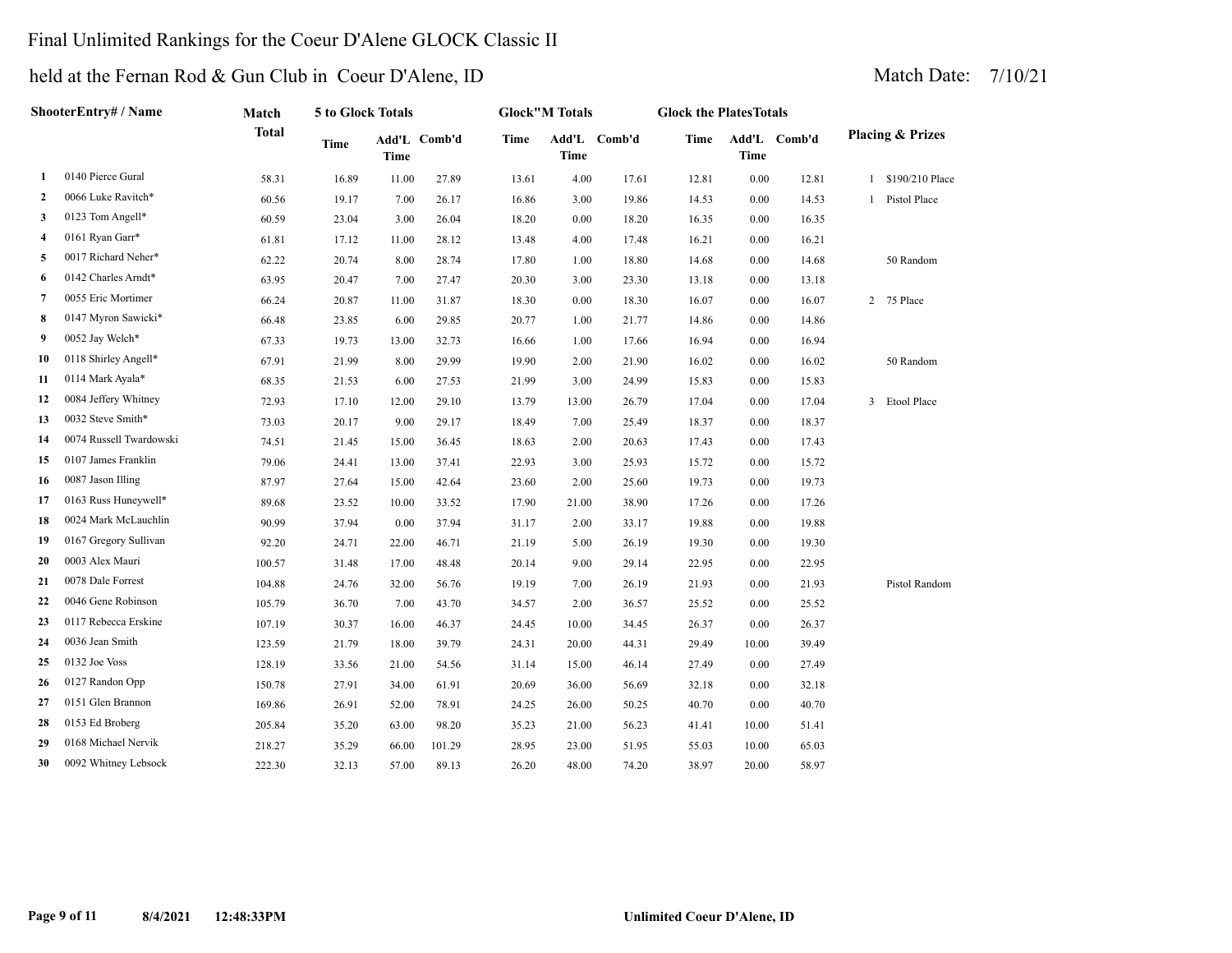### Final Unlimited Rankings for the Coeur D'Alene GLOCK Classic II

| <b>ShooterEntry# / Name</b> |                         | Match        | 5 to Glock Totals |             |              | <b>Glock"M Totals</b> |       |              | <b>Glock the PlatesTotals</b> |       |              |   |                             |
|-----------------------------|-------------------------|--------------|-------------------|-------------|--------------|-----------------------|-------|--------------|-------------------------------|-------|--------------|---|-----------------------------|
|                             |                         | <b>Total</b> | <b>Time</b>       | <b>Time</b> | Add'L Comb'd | Time                  | Time  | Add'L Comb'd | Time                          | Time  | Add'L Comb'd |   | <b>Placing &amp; Prizes</b> |
| 1                           | 0140 Pierce Gural       | 58.31        | 16.89             | 11.00       | 27.89        | 13.61                 | 4.00  | 17.61        | 12.81                         | 0.00  | 12.81        |   | 1 \$190/210 Place           |
| 2                           | 0066 Luke Ravitch*      | 60.56        | 19.17             | 7.00        | 26.17        | 16.86                 | 3.00  | 19.86        | 14.53                         | 0.00  | 14.53        | 1 | Pistol Place                |
| 3                           | 0123 Tom Angell*        | 60.59        | 23.04             | 3.00        | 26.04        | 18.20                 | 0.00  | 18.20        | 16.35                         | 0.00  | 16.35        |   |                             |
| 4                           | 0161 Ryan Garr*         | 61.81        | 17.12             | 11.00       | 28.12        | 13.48                 | 4.00  | 17.48        | 16.21                         | 0.00  | 16.21        |   |                             |
| 5                           | 0017 Richard Neher*     | 62.22        | 20.74             | 8.00        | 28.74        | 17.80                 | 1.00  | 18.80        | 14.68                         | 0.00  | 14.68        |   | 50 Random                   |
| 6                           | 0142 Charles Arndt*     | 63.95        | 20.47             | 7.00        | 27.47        | 20.30                 | 3.00  | 23.30        | 13.18                         | 0.00  | 13.18        |   |                             |
| 7                           | 0055 Eric Mortimer      | 66.24        | 20.87             | 11.00       | 31.87        | 18.30                 | 0.00  | 18.30        | 16.07                         | 0.00  | 16.07        | 2 | 75 Place                    |
| 8                           | 0147 Myron Sawicki*     | 66.48        | 23.85             | 6.00        | 29.85        | 20.77                 | 1.00  | 21.77        | 14.86                         | 0.00  | 14.86        |   |                             |
| 9                           | 0052 Jay Welch*         | 67.33        | 19.73             | 13.00       | 32.73        | 16.66                 | 1.00  | 17.66        | 16.94                         | 0.00  | 16.94        |   |                             |
| 10                          | 0118 Shirley Angell*    | 67.91        | 21.99             | 8.00        | 29.99        | 19.90                 | 2.00  | 21.90        | 16.02                         | 0.00  | 16.02        |   | 50 Random                   |
| 11                          | 0114 Mark Ayala*        | 68.35        | 21.53             | 6.00        | 27.53        | 21.99                 | 3.00  | 24.99        | 15.83                         | 0.00  | 15.83        |   |                             |
| 12                          | 0084 Jeffery Whitney    | 72.93        | 17.10             | 12.00       | 29.10        | 13.79                 | 13.00 | 26.79        | 17.04                         | 0.00  | 17.04        |   | 3 Etool Place               |
| 13                          | 0032 Steve Smith*       | 73.03        | 20.17             | 9.00        | 29.17        | 18.49                 | 7.00  | 25.49        | 18.37                         | 0.00  | 18.37        |   |                             |
| 14                          | 0074 Russell Twardowski | 74.51        | 21.45             | 15.00       | 36.45        | 18.63                 | 2.00  | 20.63        | 17.43                         | 0.00  | 17.43        |   |                             |
| 15                          | 0107 James Franklin     | 79.06        | 24.41             | 13.00       | 37.41        | 22.93                 | 3.00  | 25.93        | 15.72                         | 0.00  | 15.72        |   |                             |
| 16                          | 0087 Jason Illing       | 87.97        | 27.64             | 15.00       | 42.64        | 23.60                 | 2.00  | 25.60        | 19.73                         | 0.00  | 19.73        |   |                             |
| 17                          | 0163 Russ Huneywell*    | 89.68        | 23.52             | 10.00       | 33.52        | 17.90                 | 21.00 | 38.90        | 17.26                         | 0.00  | 17.26        |   |                             |
| 18                          | 0024 Mark McLauchlin    | 90.99        | 37.94             | 0.00        | 37.94        | 31.17                 | 2.00  | 33.17        | 19.88                         | 0.00  | 19.88        |   |                             |
| 19                          | 0167 Gregory Sullivan   | 92.20        | 24.71             | 22.00       | 46.71        | 21.19                 | 5.00  | 26.19        | 19.30                         | 0.00  | 19.30        |   |                             |
| 20                          | 0003 Alex Mauri         | 100.57       | 31.48             | 17.00       | 48.48        | 20.14                 | 9.00  | 29.14        | 22.95                         | 0.00  | 22.95        |   |                             |
| 21                          | 0078 Dale Forrest       | 104.88       | 24.76             | 32.00       | 56.76        | 19.19                 | 7.00  | 26.19        | 21.93                         | 0.00  | 21.93        |   | Pistol Random               |
| 22                          | 0046 Gene Robinson      | 105.79       | 36.70             | 7.00        | 43.70        | 34.57                 | 2.00  | 36.57        | 25.52                         | 0.00  | 25.52        |   |                             |
| 23                          | 0117 Rebecca Erskine    | 107.19       | 30.37             | 16.00       | 46.37        | 24.45                 | 10.00 | 34.45        | 26.37                         | 0.00  | 26.37        |   |                             |
| 24                          | 0036 Jean Smith         | 123.59       | 21.79             | 18.00       | 39.79        | 24.31                 | 20.00 | 44.31        | 29.49                         | 10.00 | 39.49        |   |                             |
| 25                          | 0132 Joe Voss           | 128.19       | 33.56             | 21.00       | 54.56        | 31.14                 | 15.00 | 46.14        | 27.49                         | 0.00  | 27.49        |   |                             |
| 26                          | 0127 Randon Opp         | 150.78       | 27.91             | 34.00       | 61.91        | 20.69                 | 36.00 | 56.69        | 32.18                         | 0.00  | 32.18        |   |                             |
| 27                          | 0151 Glen Brannon       | 169.86       | 26.91             | 52.00       | 78.91        | 24.25                 | 26.00 | 50.25        | 40.70                         | 0.00  | 40.70        |   |                             |
| 28                          | 0153 Ed Broberg         | 205.84       | 35.20             | 63.00       | 98.20        | 35.23                 | 21.00 | 56.23        | 41.41                         | 10.00 | 51.41        |   |                             |
| 29                          | 0168 Michael Nervik     | 218.27       | 35.29             | 66.00       | 101.29       | 28.95                 | 23.00 | 51.95        | 55.03                         | 10.00 | 65.03        |   |                             |
| 30                          | 0092 Whitney Lebsock    | 222.30       | 32.13             | 57.00       | 89.13        | 26.20                 | 48.00 | 74.20        | 38.97                         | 20.00 | 58.97        |   |                             |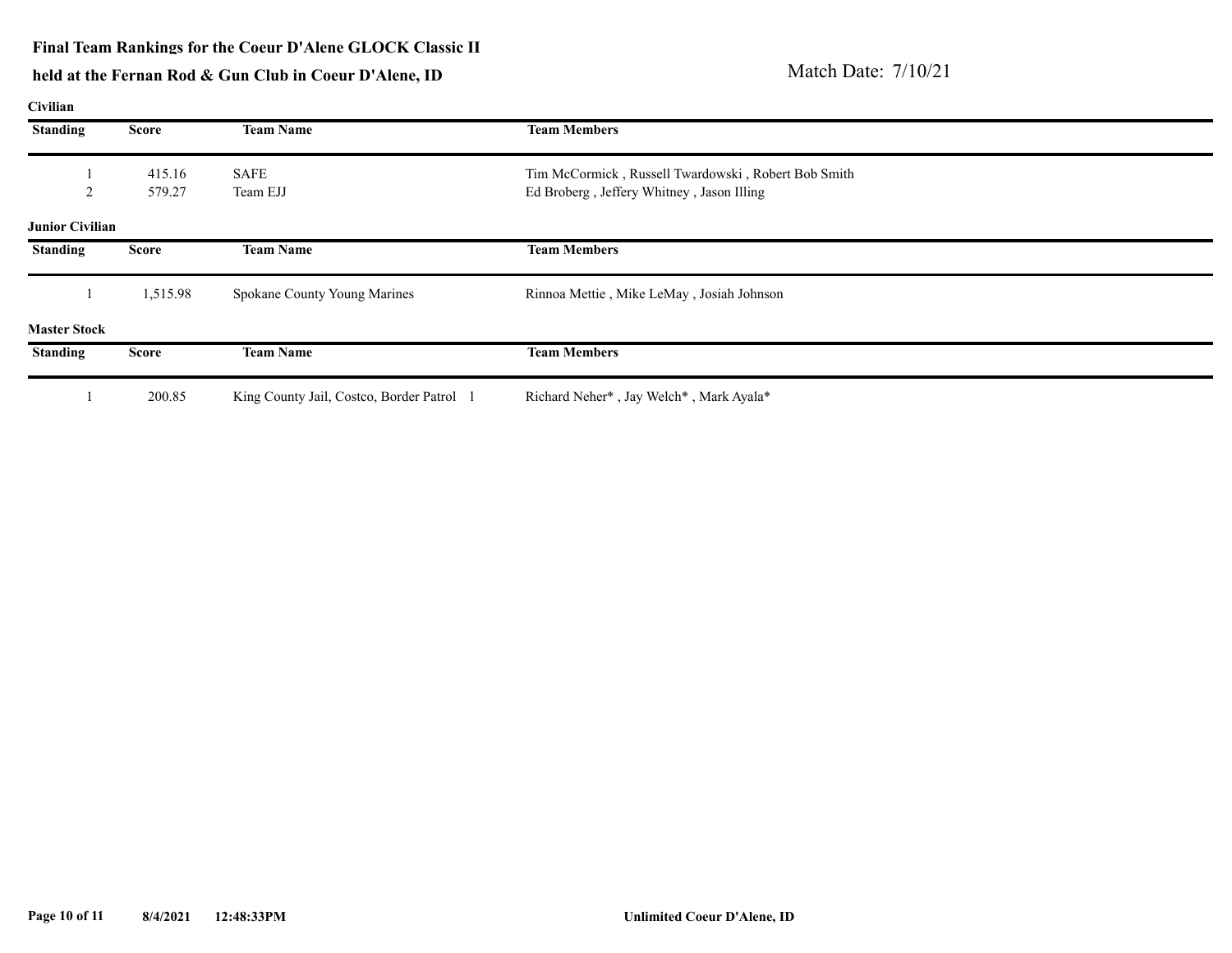# held at the Fernan Rod & Gun Club in Coeur D'Alene, ID<br>
Match Date: 7/10/21

**Civilian**

| <b>Standing</b>        | <b>Score</b>     | <b>Team Name</b>                        | <b>Team Members</b>                                                                              |
|------------------------|------------------|-----------------------------------------|--------------------------------------------------------------------------------------------------|
| ∍                      | 415.16<br>579.27 | SAFE<br>Team EJJ                        | Tim McCormick, Russell Twardowski, Robert Bob Smith<br>Ed Broberg, Jeffery Whitney, Jason Illing |
| <b>Junior Civilian</b> |                  |                                         |                                                                                                  |
| <b>Standing</b>        | <b>Score</b>     | <b>Team Name</b>                        | <b>Team Members</b>                                                                              |
|                        | 1,515.98         | Spokane County Young Marines            | Rinnoa Mettie, Mike LeMay, Josiah Johnson                                                        |
| <b>Master Stock</b>    |                  |                                         |                                                                                                  |
| <b>Standing</b>        | <b>Score</b>     | <b>Team Name</b>                        | <b>Team Members</b>                                                                              |
|                        | 200.85           | King County Jail, Costco, Border Patrol | Richard Neher*, Jay Welch*, Mark Ayala*                                                          |